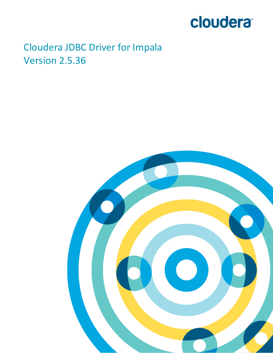# cloudera<sup>®</sup>

# Cloudera JDBC Driver for Impala Version 2.5.36

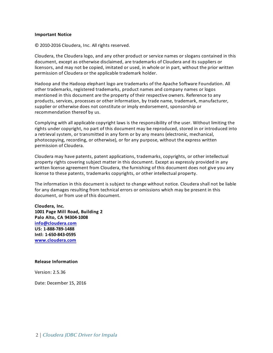#### **Important Notice**

© 2010-2016 Cloudera, Inc. All rights reserved.

Cloudera, the Cloudera logo, and any other product or service names or slogans contained in this document, except as otherwise disclaimed, are trademarks of Cloudera and its suppliers or licensors, and may not be copied, imitated or used, in whole or in part, without the prior written permission of Cloudera or the applicable trademark holder.

Hadoop and the Hadoop elephant logo are trademarks of the Apache Software Foundation. All other trademarks, registered trademarks, product names and company names or logos mentioned in this document are the property of their respective owners. Reference to any products, services, processes or other information, by trade name, trademark, manufacturer, supplier or otherwise does not constitute or imply endorsement, sponsorship or recommendation thereof by us.

Complying with all applicable copyright laws is the responsibility of the user. Without limiting the rights under copyright, no part of this document may be reproduced, stored in or introduced into a retrieval system, or transmitted in any form or by any means (electronic, mechanical, photocopying, recording, or otherwise), or for any purpose, without the express written permission of Cloudera.

Cloudera may have patents, patent applications, trademarks, copyrights, or other intellectual property rights covering subject matter in this document. Except as expressly provided in any written license agreement from Cloudera, the furnishing of this document does not give you any license to these patents, trademarks copyrights, or other intellectual property.

The information in this document is subject to change without notice. Cloudera shall not be liable for any damages resulting from technical errors or omissions which may be present in this document, or from use of this document.

**Cloudera, Inc. 1001 Page Mill Road, Building 2 Palo Alto, CA 94304-1008 [info@cloudera.com](mailto:info@cloudera.com?subject=Information Request) US: 1-888-789-1488 Intl: 1-650-843-0595 [www.cloudera.com](http://www.cloudera.com/)**

#### **Release Information**

Version: 2.5.36

Date: December 15, 2016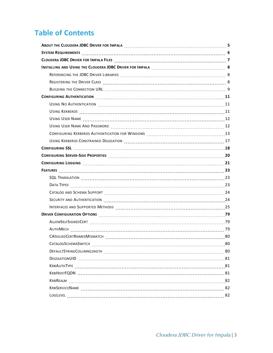# **Table of Contents**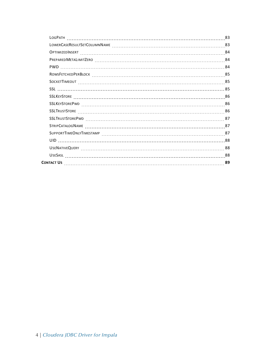|  | 83 |
|--|----|
|  |    |
|  |    |
|  |    |
|  |    |
|  |    |
|  |    |
|  |    |
|  |    |
|  |    |
|  |    |
|  |    |
|  |    |
|  |    |
|  |    |
|  |    |
|  |    |
|  | 89 |
|  |    |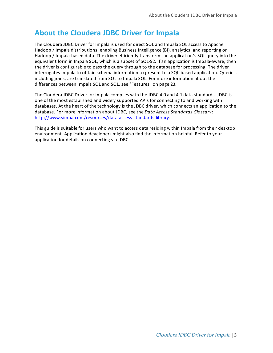# <span id="page-4-0"></span>**About the Cloudera JDBC Driver for Impala**

The Cloudera JDBC Driver for Impala is used for direct SQL and Impala SQL access to Apache Hadoop / Impala distributions, enabling Business Intelligence (BI), analytics, and reporting on Hadoop / Impala-based data. The driver efficiently transforms an application's SQL query into the equivalent form in Impala SQL, which is a subset of SQL-92. If an application is Impala-aware, then the driver is configurable to pass the query through to the database for processing. The driver interrogates Impala to obtain schema information to present to a SQL-based application. Queries, including joins, are translated from SQL to Impala SQL. For more information about the differences between Impala SQL and SQL, see ["Features"](#page-22-0) on page 23.

The Cloudera JDBC Driver for Impala complies with the JDBC 4.0 and 4.1 data standards. JDBC is one of the most established and widely supported APIs for connecting to and working with databases. At the heart of the technology is the JDBC driver, which connects an application to the database. For more information about JDBC, see the *Data Access Standards Glossary*: [http://www.simba.com/resources/data-access-standards-library.](http://www.simba.com/resources/data-access-standards-library)

This guide is suitable for users who want to access data residing within Impala from their desktop environment. Application developers might also find the information helpful. Refer to your application for details on connecting via JDBC.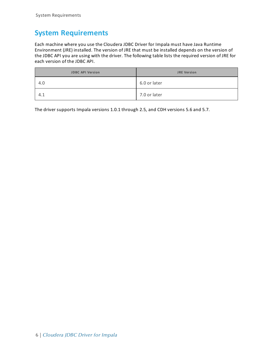# <span id="page-5-0"></span>**System Requirements**

Each machine where you use the Cloudera JDBC Driver for Impala must have Java Runtime Environment (JRE) installed. The version of JRE that must be installed depends on the version of the JDBC API you are using with the driver. The following table lists the required version of JRE for each version of the JDBC API.

| <b>JDBC API Version</b> | <b>JRE Version</b> |
|-------------------------|--------------------|
| 4.0                     | 6.0 or later       |
| 4.1                     | 7.0 or later       |

The driver supports Impala versions 1.0.1 through 2.5, and CDH versions 5.6 and 5.7.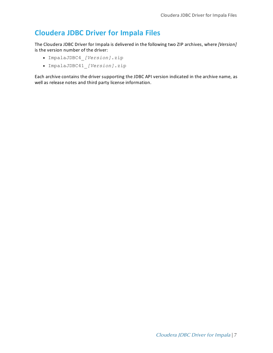# <span id="page-6-0"></span>**Cloudera JDBC Driver for Impala Files**

The Cloudera JDBC Driver for Impala is delivered in the following two ZIP archives, where *[Version]* is the version number of the driver:

- <sup>l</sup> ImpalaJDBC4\_*[Version]*.zip
- <sup>l</sup> ImpalaJDBC41\_*[Version]*.zip

Each archive contains the driver supporting the JDBC API version indicated in the archive name, as well as release notes and third party license information.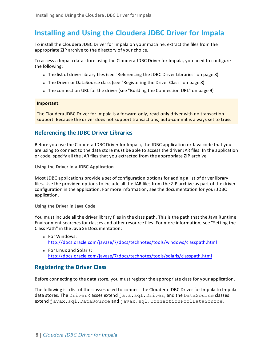# <span id="page-7-0"></span>**Installing and Using the Cloudera JDBC Driver for Impala**

To install the Cloudera JDBC Driver for Impala on your machine, extract the files from the appropriate ZIP archive to the directory of your choice.

To access a Impala data store using the Cloudera JDBC Driver for Impala, you need to configure the following:

- The list of driver library files (see ["Referencing](#page-7-1) the JDBC Driver Libraries" on page 8)
- The Driver or DataSource class (see ["Registering](#page-7-2) the Driver Class" on page 8)
- The connection URL for the driver (see "Building the [Connection](#page-8-0) URL" on page 9)

#### **Important:**

<span id="page-7-1"></span>The Cloudera JDBC Driver for Impala is a forward-only, read-only driver with no transaction support. Because the driver does not support transactions, auto-commit is always set to **true**.

### **Referencing the JDBC Driver Libraries**

Before you use the Cloudera JDBC Driver for Impala, the JDBC application or Java code that you are using to connect to the data store must be able to access the driver JAR files. In the application or code, specify all the JAR files that you extracted from the appropriate ZIP archive.

**Using the Driver in a JDBC Application**

Most JDBC applications provide a set of configuration options for adding a list of driver library files. Use the provided options to include all the JAR files from the ZIP archive as part of the driver configuration in the application. For more information, see the documentation for your JDBC application.

**Using the Driver in Java Code**

You must include all the driver library files in the class path. This is the path that the Java Runtime Environment searches for classes and other resource files. For more information, see "Setting the Class Path" in the Java SE Documentation:

- **.** For Windows: <http://docs.oracle.com/javase/7/docs/technotes/tools/windows/classpath.html>
- For Linux and Solaris: <http://docs.oracle.com/javase/7/docs/technotes/tools/solaris/classpath.html>

# <span id="page-7-2"></span>**Registering the Driver Class**

Before connecting to the data store, you must register the appropriate class for your application.

The following is a list of the classes used to connect the Cloudera JDBC Driver for Impala to Impala data stores. The Driver classes extend java.sql.Driver, and the DataSource classes extend javax.sql.DataSource and javax.sql.ConnectionPoolDataSource.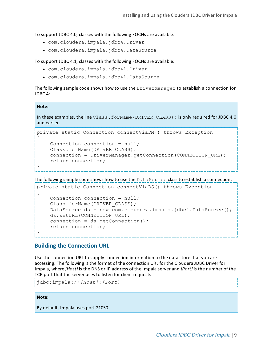To support JDBC 4.0, classes with the following FQCNs are available:

- <sup>l</sup> com.cloudera.impala.jdbc4.Driver
- <sup>l</sup> com.cloudera.impala.jdbc4.DataSource

To support JDBC 4.1, classes with the following FQCNs are available:

- <sup>l</sup> com.cloudera.impala.jdbc41.Driver
- <sup>l</sup> com.cloudera.impala.jdbc41.DataSource

The following sample code shows how to use the DriverManager to establish a connection for JDBC 4:

#### **Note:**

In these examples, the line Class.forName (DRIVER\_CLASS); is only required for JDBC 4.0 and earlier.

```
private static Connection connectViaDM() throws Exception
{
    Connection connection = null;
    Class.forName(DRIVER_CLASS);
    connection = DriverManager.getConnection(CONNECTION URL);
    return connection;
}
```
The following sample code shows how to use the DataSource class to establish a connection:

```
private static Connection connectViaDS() throws Exception
{
    Connection connection = null;
    Class.forName(DRIVER_CLASS);
    DataSource ds = new com.cloudera.impala.jdbc4.DataSource();
    ds.setURL(CONNECTION URL);
    connection = ds.getConnection();
    return connection;
}
```
### <span id="page-8-0"></span>**Building the Connection URL**

Use the connection URL to supply connection information to the data store that you are accessing. The following is the format of the connection URL for the Cloudera JDBC Driver for Impala, where *[Host]* is the DNS or IP address of the Impala server and *[Port]* is the number of the TCP port that the server uses to listen for client requests:

```
jdbc:impala://[Host]:[Port]
```
#### **Note:**

By default, Impala uses port 21050.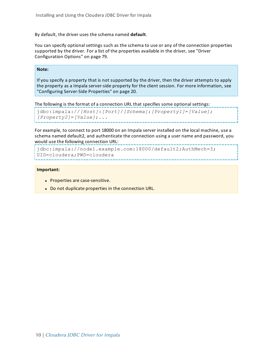By default, the driver uses the schema named **default**.

You can specify optional settings such as the schema to use or any of the connection properties supported by the driver. For a list of the properties available in the driver, see ["Driver](#page-78-0) [Configuration](#page-78-0) Options" on page 79.

#### **Note:**

If you specify a property that is not supported by the driver, then the driver attempts to apply the property as a Impala server-side property for the client session. For more information, see ["Configuring](#page-19-0) Server-Side Properties" on page 20.

The following is the format of a connection URL that specifies some optional settings:

```
jdbc:impala://[Host]:[Port]/[Schema];[Property1]=[Value];
[Property2]=[Value];...
```
For example, to connect to port 18000 on an Impala server installed on the local machine, use a schema named default2, and authenticate the connection using a user name and password, you would use the following connection URL:

```
jdbc:impala://node1.example.com:18000/default2;AuthMech=3;
UID=cloudera;PWD=cloudera
```
#### **Important:**

- Properties are case-sensitive.
- Do not duplicate properties in the connection URL.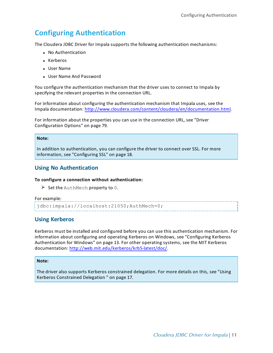# <span id="page-10-0"></span>**Configuring Authentication**

The Cloudera JDBC Driver for Impala supports the following authentication mechanisms:

- No Authentication
- Kerberos
- User Name
- User Name And Password

You configure the authentication mechanism that the driver uses to connect to Impala by specifying the relevant properties in the connection URL.

For information about configuring the authentication mechanism that Impala uses, see the Impala documentation: [http://www.cloudera.com/content/cloudera/en/documentation.html.](http://www.cloudera.com/content/cloudera/en/documentation.html)

For information about the properties you can use in the connection URL, see ["Driver](#page-78-0) [Configuration](#page-78-0) Options" on page 79.

#### **Note:**

<span id="page-10-1"></span>In addition to authentication, you can configure the driver to connect over SSL. For more information, see ["Configuring](#page-17-0) SSL" on page 18.

### **Using No Authentication**

#### **To configure a connection without authentication:**

 $\triangleright$  Set the AuthMech property to 0.

#### For example:

<span id="page-10-2"></span>jdbc:impala://localhost:21050;AuthMech=0;

# **Using Kerberos**

Kerberos must be installed and configured before you can use this authentication mechanism. For information about configuring and operating Kerberos on Windows, see ["Configuring](#page-12-0) Kerberos [Authentication](#page-12-0) for Windows" on page 13. For other operating systems, see the MIT Kerberos documentation: [http://web.mit.edu/kerberos/krb5-latest/doc/.](http://web.mit.edu/kerberos/krb5-latest/doc/)

<u> de la componenta de la componenta de la componenta de la componenta de la componenta de la componenta de la c</u>

#### **Note:**

The driver also supports Kerberos constrained delegation. For more details on this, see ["Using](#page-16-0) Kerberos [Constrained](#page-16-0) Delegation " on page 17.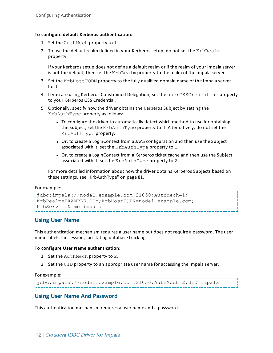#### **To configure default Kerberos authentication:**

- 1. Set the AuthMech property to 1.
- 2. To use the default realm defined in your Kerberos setup, do not set the KrbRealm property.

If your Kerberos setup does not define a default realm or if the realm of your Impala server is not the default, then set the KrbRealm property to the realm of the Impala server.

- 3. Set the KrbHostFQDN property to the fully qualified domain name of the Impala server host.
- 4. If you are using Kerberos Constrained Delegation, set the userGSSCredential property to your Kerberos GSS Credential.
- 5. Optionally, specify how the driver obtains the Kerberos Subject by setting the KrbAuthType property as follows:
	- To configure the driver to automatically detect which method to use for obtaining the Subject, set the KrbAuthType property to 0. Alternatively, do not set the KrbAuthType property.
	- Or, to create a LoginContext from a JAAS configuration and then use the Subject associated with it, set the KrbAuthType property to 1.
	- Or, to create a LoginContext from a Kerberos ticket cache and then use the Subject associated with it, set the KrbAuthType property to 2.

For more detailed information about how the driver obtains Kerberos Subjects based on these settings, see ["KrbAuthType"](#page-80-1) on page 81.

#### For example:

```
jdbc:impala://node1.example.com:21050;AuthMech=1;
KrbRealm=EXAMPLE.COM;KrbHostFQDN=node1.example.com;
KrbServiceName=impala
```
# <span id="page-11-0"></span>**Using User Name**

This authentication mechanism requires a user name but does not require a password. The user name labels the session, facilitating database tracking.

#### **To configure User Name authentication:**

- 1. Set the AuthMech property to 2.
- 2. Set the UID property to an appropriate user name for accessing the Impala server.

#### For example:

```
jdbc:impala://node1.example.com:21050;AuthMech=2;UID=impala
```
### **Using User Name And Password**

This authentication mechanism requires a user name and a password.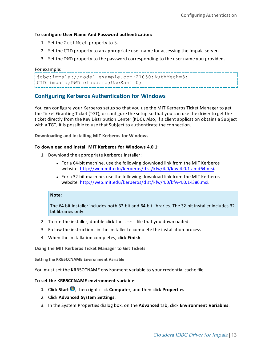#### **To configure User Name And Password authentication:**

- 1. Set the AuthMech property to 3.
- 2. Set the UID property to an appropriate user name for accessing the Impala server.
- 3. Set the PWD property to the password corresponding to the user name you provided.

#### For example:

```
jdbc:impala://node1.example.com:21050;AuthMech=3;
UID=impala;PWD=cloudera;UseSasl=0;
```
# <span id="page-12-0"></span>**Configuring Kerberos Authentication for Windows**

You can configure your Kerberos setup so that you use the MIT Kerberos Ticket Manager to get the Ticket Granting Ticket (TGT), or configure the setup so that you can use the driver to get the ticket directly from the Key Distribution Center (KDC). Also, if a client application obtains a Subject with a TGT, it is possible to use that Subject to authenticate the connection.

**Downloading and Installing MIT Kerberos for Windows**

#### **To download and install MIT Kerberos for Windows 4.0.1:**

- 1. Download the appropriate Kerberos installer:
	- For a 64-bit machine, use the following download link from the MIT Kerberos website: <http://web.mit.edu/kerberos/dist/kfw/4.0/kfw-4.0.1-amd64.msi>.
	- For a 32-bit machine, use the following download link from the MIT Kerberos website: <http://web.mit.edu/kerberos/dist/kfw/4.0/kfw-4.0.1-i386.msi>.

#### **Note:**

The 64-bit installer includes both 32-bit and 64-bit libraries. The 32-bit installer includes 32 bit libraries only.

- 2. To run the installer, double-click the .msi file that you downloaded.
- 3. Follow the instructions in the installer to complete the installation process.
- 4. When the installation completes, click **Finish**.

**Using the MIT Kerberos Ticket Manager to Get Tickets**

**Setting the KRB5CCNAME Environment Variable**

You must set the KRB5CCNAME environment variable to your credential cache file.

#### **To set the KRB5CCNAME environment variable:**

- 1. Click **Start <sup>1</sup>**, then right-click **Computer**, and then click **Properties**.
- 2. Click **Advanced System Settings**.
- 3. In the System Properties dialog box, on the **Advanced** tab, click **Environment Variables**.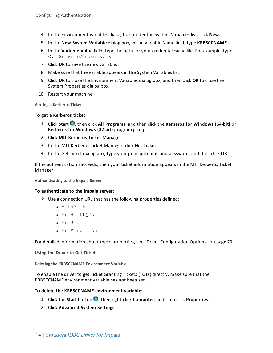- 4. In the Environment Variables dialog box, under the System Variables list, click **New**.
- 5. In the **New System Variable** dialog box, in the Variable Name field, type **KRB5CCNAME**.
- 6. In the **Variable Value** field, type the path for your credential cache file. For example, type C:\KerberosTickets.txt.
- 7. Click **OK** to save the new variable.
- 8. Make sure that the variable appears in the System Variables list.
- 9. Click **OK** to close the Environment Variables dialog box, and then click **OK** to close the System Properties dialog box.
- 10. Restart your machine.

**Getting a Kerberos Ticket**

#### **To get a Kerberos ticket:**

- 1. Click **Start** , then click **All Programs**, and then click the **Kerberos for Windows (64-bit)** or **Kerberos for Windows (32-bit)** program group.
- 2. Click **MIT Kerberos Ticket Manager**.
- 3. In the MIT Kerberos Ticket Manager, click **Get Ticket**.
- 4. In the Get Ticket dialog box, type your principal name and password, and then click **OK**.

If the authentication succeeds, then your ticket information appears in the MIT Kerberos Ticket Manager.

**Authenticating to the Impala Server**

#### **To authenticate to the Impala server:**

- $\blacktriangleright$  Use a connection URL that has the following properties defined:
	- AuthMech
	- KrbHostFQDN
	- KrbRealm
	- KrbServiceName

For detailed information about these properties, see "Driver [Configuration](#page-78-0) Options" on page 79

**Using the Driver to Get Tickets**

**Deleting the KRB5CCNAME Environment Variable**

To enable the driver to get Ticket Granting Tickets (TGTs) directly, make sure that the KRB5CCNAME environment variable has not been set.

#### **To delete the KRB5CCNAME environment variable:**

- 1. Click the **Start** button **b**, then right-click **Computer**, and then click **Properties**.
- 2. Click **Advanced System Settings**.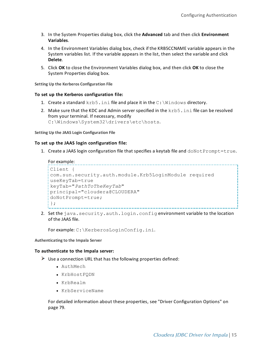- 3. In the System Properties dialog box, click the **Advanced** tab and then click **Environment Variables**.
- 4. In the Environment Variables dialog box, check if the KRB5CCNAME variable appears in the System variables list. If the variable appears in the list, then select the variable and click **Delete**.
- 5. Click **OK** to close the Environment Variables dialog box, and then click **OK** to close the System Properties dialog box.

**Setting Up the Kerberos Configuration File**

#### **To set up the Kerberos configuration file:**

- 1. Create a standard  $krb5$ . ini file and place it in the  $C:\W{indows}$  directory.
- 2. Make sure that the KDC and Admin server specified in the krb5. ini file can be resolved from your terminal. If necessary, modify C:\Windows\System32\drivers\etc\hosts.

**Setting Up the JAAS Login Configuration File**

#### **To set up the JAAS login configuration file:**

1. Create a JAAS login configuration file that specifies a keytab file and doNotPrompt=true.

#### For example:

```
Client {
com.sun.security.auth.module.Krb5LoginModule required
useKeyTab=true
keyTab="PathToTheKeyTab"
principal="cloudera@CLOUDERA"
doNotPrompt=true;
};
```
2. Set the java.security.auth.login.config environment variable to the location of the JAAS file.

For example: C:\KerberosLoginConfig.ini.

**Authenticating to the Impala Server**

#### **To authenticate to the Impala server:**

- $\blacktriangleright$  Use a connection URL that has the following properties defined:
	- AuthMech
	- KrbHostFQDN
	- KrbRealm
	- KrbServiceName

For detailed information about these properties, see "Driver [Configuration](#page-78-0) Options" on [page](#page-78-0) 79.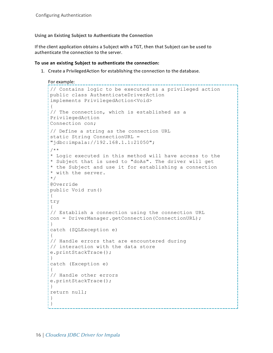**Using an Existing Subject to Authenticate the Connection**

If the client application obtains a Subject with a TGT, then that Subject can be used to authenticate the connection to the server.

#### **To use an existing Subject to authenticate the connection:**

1. Create a PrivilegedAction for establishing the connection to the database.

```
For example:
           // Contains logic to be executed as a privileged action
public class AuthenticateDriverAction
implements PrivilegedAction<Void>
{
// The connection, which is established as a
PrivilegedAction
Connection con;
// Define a string as the connection URL
static String ConnectionURL =
"jdbc:impala://192.168.1.1:21050";
/**
* Logic executed in this method will have access to the
* Subject that is used to "doAs". The driver will get
* the Subject and use it for establishing a connection
* with the server.
*/
@Override
public Void run()
{
try
{
// Establish a connection using the connection URL
con = DriverManager.getConnection(ConnectionURL);
}
catch (SQLException e)
{
// Handle errors that are encountered during
// interaction with the data store
e.printStackTrace();
}
catch (Exception e)
{
// Handle other errors
e.printStackTrace();
}
return null;
}
}
```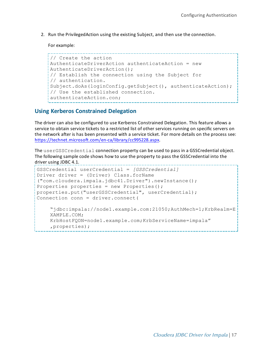2. Run the PrivilegedAction using the existing Subject, and then use the connection.

For example:

```
// Create the action
AuthenticateDriverAction authenticateAction = new
AuthenticateDriverAction();
// Establish the connection using the Subject for
// authentication.
Subject.doAs(loginConfig.getSubject(), authenticateAction);
// Use the established connection.
authenticateAction.con;
```
# <span id="page-16-0"></span>**Using Kerberos Constrained Delegation**

The driver can also be configured to use Kerberos Constrained Delegation. This feature allows a service to obtain service tickets to a restricted list of other services running on specific servers on the network after is has been presented with a service ticket. For more details on the process see: <https://technet.microsoft.com/en-ca/library/cc995228.aspx>.

The userGSSCredential connection property can be used to pass in a GSSCredential object. The following sample code shows how to use the property to pass the GSSCredential into the driver using JDBC 4.1.

```
GSSCredential userCredential = [GSSCredential]
Driver driver = (Driver) Class.forName
("com.cloudera.impala.jdbc41.Driver").newInstance();
Properties properties = new Properties();
properties.put("userGSSCredential", userCredential);
Connection conn = driver.connect(
    "jdbc:impala://node1.example.com:21050;AuthMech=1;KrbRealm=E
    XAMPLE.COM;
    KrbHostFQDN=node1.example.com;KrbServiceName=impala"
    ,properties);
```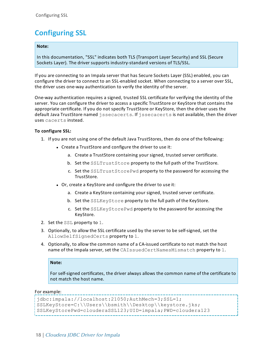# <span id="page-17-0"></span>**Configuring SSL**

#### **Note:**

In this documentation, "SSL" indicates both TLS (Transport Layer Security) and SSL (Secure Sockets Layer). The driver supports industry-standard versions of TLS/SSL.

If you are connecting to an Impala server that has Secure Sockets Layer (SSL) enabled, you can configure the driver to connect to an SSL-enabled socket. When connecting to a server over SSL, the driver uses one-way authentication to verify the identity of the server.

One-way authentication requires a signed, trusted SSL certificate for verifying the identity of the server. You can configure the driver to access a specific TrustStore or KeyStore that contains the appropriate certificate. If you do not specify TrustStore or KeyStore, then the driver uses the default Java TrustStore named jssecacerts. If jssecacerts is not available, then the driver uses cacerts instead.

#### **To configure SSL:**

- 1. If you are not using one of the default Java TrustStores, then do one of the following:
	- Create a TrustStore and configure the driver to use it:
		- a. Create a TrustStore containing your signed, trusted server certificate.
		- b. Set the SSLTrustStore property to the full path of the TrustStore.
		- c. Set the SSLTrustStorePwd property to the password for accessing the TrustStore.
	- Or, create a KeyStore and configure the driver to use it:
		- a. Create a KeyStore containing your signed, trusted server certificate.
		- b. Set the SSLKeyStore property to the full path of the KeyStore.
		- c. Set the SSLKeyStorePwd property to the password for accessing the KeyStore.
- 2. Set the SSL property to 1.
- 3. Optionally, to allow the SSL certificate used by the server to be self-signed, set the AllowSelfSignedCerts property to 1.
- 4. Optionally, to allow the common name of a CA-issued certificate to not match the host name of the Impala server, set the CAIssuedCertNamesMismatch property to 1.

#### **Note:**

For self-signed certificates, the driver always allows the common name of the certificate to not match the host name.

For example:

```
jdbc:impala://localhost:21050;AuthMech=3;SSL=1;
SSLKeyStore=C:\\Users\\bsmith\\Desktop\\keystore.jks;
SSLKeyStorePwd=clouderaSSL123;UID=impala;PWD=cloudera123
```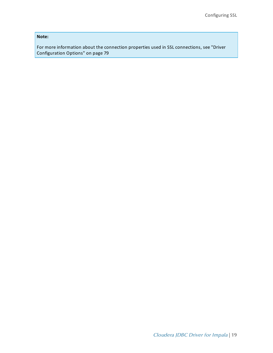**Note:**

For more information about the connection properties used in SSL connections, see ["Driver](#page-78-0) [Configuration](#page-78-0) Options" on page 79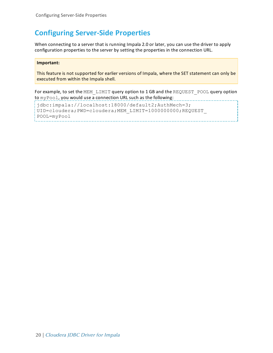# <span id="page-19-0"></span>**Configuring Server-Side Properties**

When connecting to a server that is running Impala 2.0 or later, you can use the driver to apply configuration properties to the server by setting the properties in the connection URL.

#### **Important:**

This feature is not supported for earlier versions of Impala, where the SET statement can only be executed from within the Impala shell.

For example, to set the MEM\_LIMIT query option to 1 GB and the REQUEST\_POOL query option to myPool, you would use a connection URL such as the following:

jdbc:impala://localhost:18000/default2;AuthMech=3; UID=cloudera;PWD=cloudera;MEM\_LIMIT=1000000000;REQUEST\_ POOL=myPool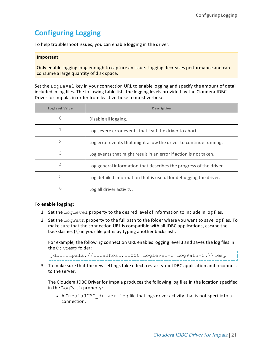# <span id="page-20-0"></span>**Configuring Logging**

To help troubleshoot issues, you can enable logging in the driver.

#### **Important:**

Only enable logging long enough to capture an issue. Logging decreases performance and can consume a large quantity of disk space.

Set the LogLevel key in your connection URL to enable logging and specify the amount of detail included in log files. The following table lists the logging levels provided by the Cloudera JDBC Driver for Impala, in order from least verbose to most verbose.

| <b>LogLevel Value</b> | <b>Description</b>                                                 |
|-----------------------|--------------------------------------------------------------------|
| Ω                     | Disable all logging.                                               |
|                       | Log severe error events that lead the driver to abort.             |
| 2                     | Log error events that might allow the driver to continue running.  |
| 3                     | Log events that might result in an error if action is not taken.   |
| 4                     | Log general information that describes the progress of the driver. |
| 5                     | Log detailed information that is useful for debugging the driver.  |
| 6                     | Log all driver activity.                                           |

#### **To enable logging:**

- 1. Set the LogLevel property to the desired level of information to include in log files.
- 2. Set the LogPath property to the full path to the folder where you want to save log files. To make sure that the connection URL is compatible with all JDBC applications, escape the backslashes (\) in your file paths by typing another backslash.

For example, the following connection URL enables logging level 3 and saves the log files in the C:\temp folder:

jdbc:impala://localhost:11000;LogLevel=3;LogPath=C:\\temp

3. To make sure that the new settings take effect, restart your JDBC application and reconnect to the server.

The Cloudera JDBC Driver for Impala produces the following log files in the location specified in the LogPath property:

• A ImpalaJDBC  $driver.$  log file that logs driver activity that is not specific to a connection.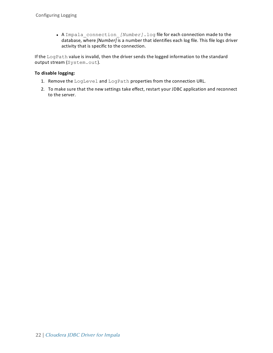• A Impala connection *[Number]*.log file for each connection made to the database, where *[Number]* is a number that identifies each log file. This file logs driver activity that is specific to the connection.

If the LogPath value is invalid, then the driver sends the logged information to the standard output stream (System.out).

### **To disable logging:**

- 1. Remove the LogLevel and LogPath properties from the connection URL.
- 2. To make sure that the new settings take effect, restart your JDBC application and reconnect to the server.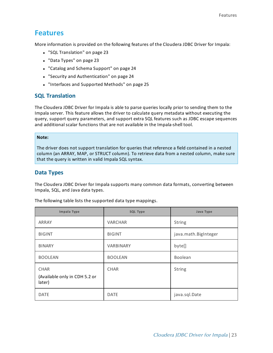# <span id="page-22-0"></span>**Features**

More information is provided on the following features of the Cloudera JDBC Driver for Impala:

- "SQL [Translation"](#page-22-1) on page 23
- "Data [Types"](#page-22-2) on page 23
- "Catalog and Schema [Support"](#page-23-0) on page 24
- <sup>l</sup> "Security and [Authentication"](#page-23-1) on page 24
- <span id="page-22-1"></span>• ["Interfaces](#page-24-0) and Supported Methods" on page 25

# **SQL Translation**

The Cloudera JDBC Driver for Impala is able to parse queries locally prior to sending them to the Impala server. This feature allows the driver to calculate query metadata without executing the query, support query parameters, and support extra SQL features such as JDBC escape sequences and additional scalar functions that are not available in the Impala-shell tool.

#### **Note:**

The driver does not support translation for queries that reference a field contained in a nested column (an ARRAY, MAP, or STRUCT column). To retrieve data from a nested column, make sure that the query is written in valid Impala SQL syntax.

# <span id="page-22-2"></span>**Data Types**

The Cloudera JDBC Driver for Impala supports many common data formats, converting between Impala, SQL, and Java data types.

| Impala Type                                            | <b>SQL Type</b> | Java Type            |
|--------------------------------------------------------|-----------------|----------------------|
| ARRAY                                                  | <b>VARCHAR</b>  | <b>String</b>        |
| <b>BIGINT</b>                                          | <b>BIGINT</b>   | java.math.BigInteger |
| <b>BINARY</b>                                          | VARBINARY       | byte[]               |
| <b>BOOLEAN</b>                                         | <b>BOOLEAN</b>  | Boolean              |
| <b>CHAR</b><br>(Available only in CDH 5.2 or<br>later) | <b>CHAR</b>     | <b>String</b>        |
| <b>DATE</b>                                            | <b>DATE</b>     | java.sql.Date        |

The following table lists the supported data type mappings.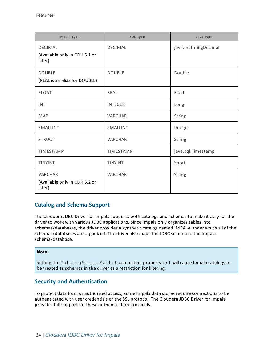| Impala Type                                               | <b>SQL Type</b>  | Java Type            |
|-----------------------------------------------------------|------------------|----------------------|
| <b>DECIMAL</b><br>(Available only in CDH 5.1 or<br>later) | <b>DECIMAL</b>   | java.math.BigDecimal |
| <b>DOUBLE</b><br>(REAL is an alias for DOUBLE)            | <b>DOUBLE</b>    | Double               |
| <b>FLOAT</b>                                              | <b>REAL</b>      | Float                |
| <b>INT</b>                                                | <b>INTEGER</b>   | Long                 |
| <b>MAP</b>                                                | <b>VARCHAR</b>   | <b>String</b>        |
| <b>SMALLINT</b>                                           | SMALLINT         | Integer              |
| <b>STRUCT</b>                                             | <b>VARCHAR</b>   | <b>String</b>        |
| <b>TIMESTAMP</b>                                          | <b>TIMESTAMP</b> | java.sql.Timestamp   |
| <b>TINYINT</b>                                            | <b>TINYINT</b>   | Short                |
| <b>VARCHAR</b><br>(Available only in CDH 5.2 or<br>later) | <b>VARCHAR</b>   | <b>String</b>        |

# <span id="page-23-0"></span>**Catalog and Schema Support**

The Cloudera JDBC Driver for Impala supports both catalogs and schemas to make it easy for the driver to work with various JDBC applications. Since Impala only organizes tables into schemas/databases, the driver provides a synthetic catalog named IMPALA under which all of the schemas/databases are organized. The driver also maps the JDBC schema to the Impala schema/database.

#### **Note:**

Setting the CatalogSchemaSwitch connection property to 1 will cause Impala catalogs to be treated as schemas in the driver as a restriction for filtering.

# <span id="page-23-1"></span>**Security and Authentication**

To protect data from unauthorized access, some Impala data stores require connections to be authenticated with user credentials or the SSL protocol. The Cloudera JDBC Driver for Impala provides full support for these authentication protocols.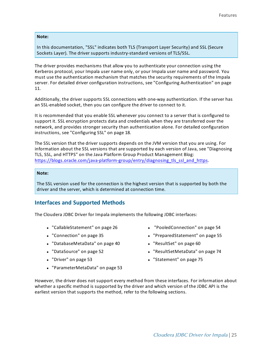#### **Note:**

In this documentation, "SSL" indicates both TLS (Transport Layer Security) and SSL (Secure Sockets Layer). The driver supports industry-standard versions of TLS/SSL.

The driver provides mechanisms that allow you to authenticate your connection using the Kerberos protocol, your Impala user name only, or your Impala user name and password. You must use the authentication mechanism that matches the security requirements of the Impala server. For detailed driver configuration instructions, see "Configuring [Authentication"](#page-10-0) on page [11.](#page-10-0)

Additionally, the driver supports SSL connections with one-way authentication. If the server has an SSL-enabled socket, then you can configure the driver to connect to it.

It is recommended that you enable SSL whenever you connect to a server that is configured to support it. SSL encryption protects data and credentials when they are transferred over the network, and provides stronger security than authentication alone. For detailed configuration instructions, see ["Configuring](#page-17-0) SSL" on page 18.

The SSL version that the driver supports depends on the JVM version that you are using. For information about the SSL versions that are supported by each version of Java, see "Diagnosing TLS, SSL, and HTTPS" on the Java Platform Group Product Management Blog: [https://blogs.oracle.com/java-platform-group/entry/diagnosing\\_tls\\_ssl\\_and\\_https](https://blogs.oracle.com/java-platform-group/entry/diagnosing_tls_ssl_and_https).

#### **Note:**

<span id="page-24-0"></span>The SSL version used for the connection is the highest version that is supported by both the driver and the server, which is determined at connection time.

### **Interfaces and Supported Methods**

The Cloudera JDBC Driver for Impala implements the following JDBC interfaces:

- ["CallableStatement"](#page-25-0) on page 26
- ["Connection"](#page-34-0) on page 35
- ["DatabaseMetaData"](#page-39-0) on page 40
- ["DataSource"](#page-51-0) on page 52
- ["Driver"](#page-52-0) on page 53
- <sup>l</sup> ["ParameterMetaData"](#page-52-1) on page 53
- ["PooledConnection"](#page-53-0) on page 54
- ["PreparedStatement"](#page-54-0) on page 55
- ["ResultSet"](#page-59-0) on page 60
- <sup>l</sup> ["ResultSetMetaData"](#page-73-0) on page 74
- ["Statement"](#page-74-0) on page 75

However, the driver does not support every method from these interfaces. For information about whether a specific method is supported by the driver and which version of the JDBC API is the earliest version that supports the method, refer to the following sections.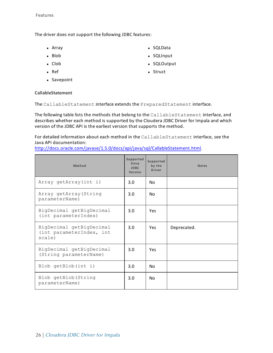The driver does not support the following JDBC features:

- $\bullet$  Array
- $\bullet$  Blob
- $\bullet$  Clob
- $\bullet$  Ref
- Savepoint
- SQLData
- SQLInput
- SQLOutput
- Struct

### <span id="page-25-0"></span>**CallableStatement**

The CallableStatement interface extends the PreparedStatement interface.

The following table lists the methods that belong to the CallableStatement interface, and describes whether each method is supported by the Cloudera JDBC Driver for Impala and which version of the JDBC API is the earliest version that supports the method.

For detailed information about each method in the CallableStatement interface, see the Java API documentation:

[http://docs.oracle.com/javase/1.5.0/docs/api/java/sql/CallableStatement.html.](http://docs.oracle.com/javase/1.5.0/docs/api/java/sql/CallableStatement.html)

| Method                                                         | Supported<br>Since<br><b>JDBC</b><br>Version | Supported<br>by the<br><b>Driver</b> | <b>Notes</b> |
|----------------------------------------------------------------|----------------------------------------------|--------------------------------------|--------------|
| Array getArray(int i)                                          | 3.0                                          | No.                                  |              |
| Array getArray (String<br>parameterName)                       | 3.0                                          | No.                                  |              |
| BigDecimal getBigDecimal<br>(int parameterIndex)               | 3.0                                          | <b>Yes</b>                           |              |
| BigDecimal getBigDecimal<br>(int parameterIndex, int<br>scale) | 3.0                                          | <b>Yes</b>                           | Deprecated.  |
| BigDecimal getBigDecimal<br>(String parameterName)             | 3.0                                          | Yes                                  |              |
| Blob getBlob(int i)                                            | 3.0                                          | No.                                  |              |
| Blob getBlob (String<br>parameterName)                         | 3.0                                          | N <sub>0</sub>                       |              |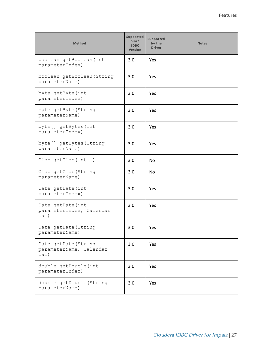| Method                                                  | Supported<br><b>Since</b><br><b>JDBC</b><br>Version | Supported<br>by the<br><b>Driver</b> | <b>Notes</b> |
|---------------------------------------------------------|-----------------------------------------------------|--------------------------------------|--------------|
| boolean getBoolean (int<br>parameterIndex)              | 3.0                                                 | Yes                                  |              |
| boolean getBoolean (String<br>parameterName)            | 3.0                                                 | Yes                                  |              |
| byte getByte (int<br>parameterIndex)                    | 3.0                                                 | Yes                                  |              |
| byte getByte (String<br>parameterName)                  | 3.0                                                 | Yes                                  |              |
| byte[] getBytes(int<br>parameterIndex)                  | 3.0                                                 | Yes                                  |              |
| byte[] getBytes(String<br>parameterName)                | 3.0                                                 | Yes                                  |              |
| Clob getClob(int i)                                     | 3.0                                                 | <b>No</b>                            |              |
| Clob getClob (String<br>parameterName)                  | 3.0                                                 | No                                   |              |
| Date getDate(int<br>parameterIndex)                     | 3.0                                                 | Yes                                  |              |
| Date getDate(int<br>parameterIndex, Calendar<br>cal)    | 3.0                                                 | Yes                                  |              |
| Date getDate (String<br>parameterName)                  | 3.0                                                 | Yes                                  |              |
| Date getDate (String<br>parameterName, Calendar<br>cal) | 3.0                                                 | Yes                                  |              |
| double getDouble(int<br>parameterIndex)                 | 3.0                                                 | Yes                                  |              |
| double getDouble (String<br>parameterName)              | 3.0                                                 | Yes                                  |              |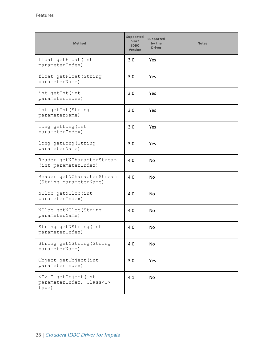| Method                                                             | Supported<br>Since<br><b>JDBC</b><br>Version | Supported<br>by the<br><b>Driver</b> | <b>Notes</b> |
|--------------------------------------------------------------------|----------------------------------------------|--------------------------------------|--------------|
| float getFloat (int<br>parameterIndex)                             | 3.0                                          | Yes                                  |              |
| float getFloat (String<br>parameterName)                           | 3.0                                          | Yes                                  |              |
| int getInt (int<br>parameterIndex)                                 | 3.0                                          | <b>Yes</b>                           |              |
| int getInt (String<br>parameterName)                               | 3.0                                          | Yes                                  |              |
| long getLong (int<br>parameterIndex)                               | 3.0                                          | Yes                                  |              |
| long getLong (String<br>parameterName)                             | 3.0                                          | <b>Yes</b>                           |              |
| Reader getNCharacterStream<br>(int parameterIndex)                 | 4.0                                          | <b>No</b>                            |              |
| Reader getNCharacterStream<br>(String parameterName)               | 4.0                                          | <b>No</b>                            |              |
| NClob getNClob(int<br>parameterIndex)                              | 4.0                                          | <b>No</b>                            |              |
| NClob getNClob (String<br>parameterName)                           | 4.0                                          | No.                                  |              |
| String getNString (int<br>parameterIndex)                          | 4.0                                          | No                                   |              |
| String getNString (String<br>parameterName)                        | 4.0                                          | No                                   |              |
| Object getObject (int<br>parameterIndex)                           | 3.0                                          | Yes                                  |              |
| <t> T getObject(int<br/>parameterIndex, Class<t><br/>type)</t></t> | 4.1                                          | No                                   |              |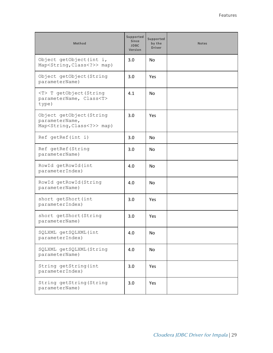| Method                                                                                    | Supported<br>Since<br><b>JDBC</b><br>Version | Supported<br>by the<br><b>Driver</b> | <b>Notes</b> |
|-------------------------------------------------------------------------------------------|----------------------------------------------|--------------------------------------|--------------|
| Object getObject(int i,<br>Map <string, class<?="">&gt; map)</string,>                    | 3.0                                          | N <sub>o</sub>                       |              |
| Object getObject (String<br>parameterName)                                                | 3.0                                          | Yes                                  |              |
| <t> T getObject (String<br/>parameterName, Class<t><br/>type)</t></t>                     | 4.1                                          | No.                                  |              |
| Object getObject (String<br>parameterName,<br>Map <string, class<?="">&gt; map)</string,> | 3.0                                          | Yes                                  |              |
| Ref getRef(int i)                                                                         | 3.0                                          | No.                                  |              |
| Ref getRef (String<br>parameterName)                                                      | 3.0                                          | No.                                  |              |
| RowId getRowId(int<br>parameterIndex)                                                     | 4.0                                          | No.                                  |              |
| RowId getRowId (String<br>parameterName)                                                  | 4.0                                          | <b>No</b>                            |              |
| short getShort (int<br>parameterIndex)                                                    | 3.0                                          | Yes                                  |              |
| short getShort (String<br>parameterName)                                                  | 3.0                                          | Yes                                  |              |
| SQLXML getSQLXML(int<br>parameterIndex)                                                   | 4.0                                          | No.                                  |              |
| SQLXML qetSQLXML(String<br>parameterName)                                                 | 4.0                                          | No                                   |              |
| String getString (int<br>parameterIndex)                                                  | 3.0                                          | Yes                                  |              |
| String getString (String<br>parameterName)                                                | 3.0                                          | Yes                                  |              |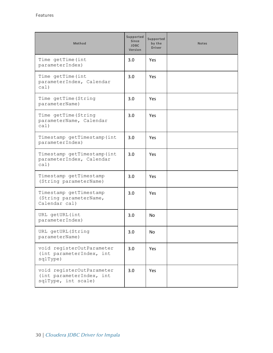| Method                                                                       | Supported<br><b>Since</b><br><b>JDBC</b><br>Version | Supported<br>by the<br><b>Driver</b> | <b>Notes</b> |
|------------------------------------------------------------------------------|-----------------------------------------------------|--------------------------------------|--------------|
| Time getTime (int<br>parameterIndex)                                         | 3.0                                                 | Yes                                  |              |
| Time getTime (int<br>parameterIndex, Calendar<br>cal)                        | 3.0                                                 | Yes                                  |              |
| Time getTime (String<br>parameterName)                                       | 3.0                                                 | <b>Yes</b>                           |              |
| Time getTime (String<br>parameterName, Calendar<br>cal(                      | 3.0                                                 | <b>Yes</b>                           |              |
| Timestamp getTimestamp(int<br>parameterIndex)                                | 3.0                                                 | <b>Yes</b>                           |              |
| Timestamp getTimestamp(int<br>parameterIndex, Calendar<br>cal)               | 3.0                                                 | <b>Yes</b>                           |              |
| Timestamp getTimestamp<br>(String parameterName)                             | 3.0                                                 | Yes                                  |              |
| Timestamp getTimestamp<br>(String parameterName,<br>Calendar cal)            | 3.0                                                 | Yes                                  |              |
| URL getURL (int<br>parameterIndex)                                           | 3.0                                                 | <b>No</b>                            |              |
| URL getURL (String<br>parameterName)                                         | 3.0                                                 | No                                   |              |
| void registerOutParameter<br>(int parameterIndex, int<br>sqlType)            | 3.0                                                 | Yes                                  |              |
| void registerOutParameter<br>(int parameterIndex, int<br>sqlType, int scale) | 3.0                                                 | Yes                                  |              |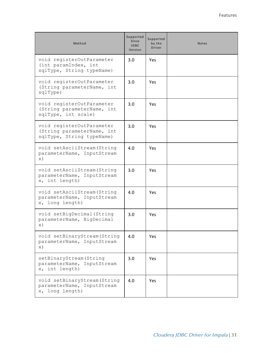| <b>Method</b>                                                                        | Supported<br><b>Since</b><br><b>JDBC</b><br>Version | Supported<br>by the<br><b>Driver</b> | <b>Notes</b> |
|--------------------------------------------------------------------------------------|-----------------------------------------------------|--------------------------------------|--------------|
| void registerOutParameter<br>(int paramIndex, int<br>sqlType, String typeName)       | 3.0                                                 | Yes                                  |              |
| void registerOutParameter<br>(String parameterName, int<br>sqlType)                  | 3.0                                                 | Yes                                  |              |
| void registerOutParameter<br>(String parameterName, int<br>sqlType, int scale)       | 3.0                                                 | <b>Yes</b>                           |              |
| void registerOutParameter<br>(String parameterName, int<br>sqlType, String typeName) | 3.0                                                 | <b>Yes</b>                           |              |
| void setAsciiStream (String<br>parameterName, InputStream<br>$\mathbf{x})$           | 4.0                                                 | Yes                                  |              |
| void setAsciiStream (String<br>parameterName, InputStream<br>x, int length)          | 3.0                                                 | Yes                                  |              |
| void setAsciiStream (String<br>parameterName, InputStream<br>x, long length)         | 4.0                                                 | <b>Yes</b>                           |              |
| void setBigDecimal (String<br>parameterName, BigDecimal<br>$\mathbf{x})$             | 3.0                                                 | Yes                                  |              |
| void setBinaryStream (String<br>parameterName, InputStream<br>$\mathbf{x})$          | 4.0                                                 | Yes                                  |              |
| setBinaryStream (String<br>parameterName, InputStream<br>x, int length)              | 3.0                                                 | Yes                                  |              |
| void setBinaryStream (String<br>parameterName, InputStream<br>x, long length)        | 4.0                                                 | Yes                                  |              |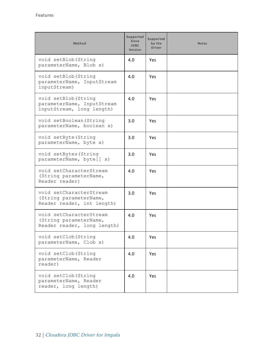| Method                                                                           | Supported<br><b>Since</b><br><b>JDBC</b><br>Version | Supported<br>by the<br><b>Driver</b> | <b>Notes</b> |
|----------------------------------------------------------------------------------|-----------------------------------------------------|--------------------------------------|--------------|
| void setBlob (String<br>parameterName, Blob x)                                   | 4.0                                                 | Yes                                  |              |
| void setBlob (String<br>parameterName, InputStream<br>inputStream)               | 4.0                                                 | Yes.                                 |              |
| void setBlob (String<br>parameterName, InputStream<br>inputStream, long length)  | 4.0                                                 | Yes.                                 |              |
| void setBoolean (String<br>parameterName, boolean x)                             | 3.0                                                 | Yes                                  |              |
| void setByte (String<br>parameterName, byte x)                                   | 3.0                                                 | Yes                                  |              |
| void setBytes (String<br>parameterName, byte[] x)                                | 3.0                                                 | Yes.                                 |              |
| void setCharacterStream<br>(String parameterName,<br>Reader reader)              | 4.0                                                 | <b>Yes</b>                           |              |
| void setCharacterStream<br>(String parameterName,<br>Reader reader, int length)  | 3.0                                                 | Yes                                  |              |
| void setCharacterStream<br>(String parameterName,<br>Reader reader, long length) | 4.0                                                 | Yes                                  |              |
| void setClob (String<br>parameterName, Clob x)                                   | 4.0                                                 | Yes                                  |              |
| void setClob (String<br>parameterName, Reader<br>reader)                         | 4.0                                                 | Yes                                  |              |
| void setClob (String<br>parameterName, Reader<br>reader, long length)            | 4.0                                                 | Yes                                  |              |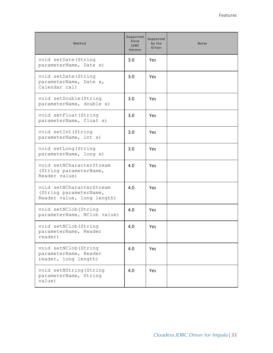| Method                                                                           | Supported<br><b>Since</b><br><b>JDBC</b><br><b>Version</b> | Supported<br>by the<br><b>Driver</b> | <b>Notes</b> |
|----------------------------------------------------------------------------------|------------------------------------------------------------|--------------------------------------|--------------|
| void setDate (String<br>parameterName, Date x)                                   | 3.0                                                        | Yes                                  |              |
| void setDate (String<br>parameterName, Date x,<br>Calendar cal)                  | 3.0                                                        | Yes                                  |              |
| void setDouble (String<br>parameterName, double x)                               | 3.0                                                        | <b>Yes</b>                           |              |
| void setFloat (String<br>parameterName, float x)                                 | 3.0                                                        | Yes                                  |              |
| void setInt (String<br>parameterName, int x)                                     | 3.0                                                        | Yes.                                 |              |
| void setLong (String<br>parameterName, long x)                                   | 3.0                                                        | <b>Yes</b>                           |              |
| void setNCharacterStream<br>(String parameterName,<br>Reader value)              | 4.0                                                        | <b>Yes</b>                           |              |
| void setNCharacterStream<br>(String parameterName,<br>Reader value, long length) | 4.0                                                        | Yes                                  |              |
| void setNClob (String<br>parameterName, NClob value)                             | 4.0                                                        | Yes                                  |              |
| void setNClob (String<br>parameterName, Reader<br>reader)                        | 4.0                                                        | Yes                                  |              |
| void setNClob (String<br>parameterName, Reader<br>reader, long length)           | 4.0                                                        | Yes                                  |              |
| void setNString (String<br>parameterName, String<br>value)                       | 4.0                                                        | Yes                                  |              |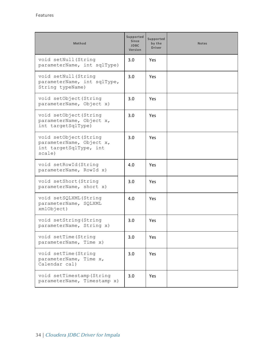| Method                                                                                 | Supported<br><b>Since</b><br><b>JDBC</b><br>Version | Supported<br>by the<br><b>Driver</b> | <b>Notes</b> |
|----------------------------------------------------------------------------------------|-----------------------------------------------------|--------------------------------------|--------------|
| void setNull (String<br>parameterName, int sqlType)                                    | 3.0                                                 | Yes                                  |              |
| void setNull (String<br>parameterName, int sqlType,<br>String typeName)                | 3.0                                                 | Yes.                                 |              |
| void setObject (String<br>parameterName, Object x)                                     | 3.0                                                 | Yes.                                 |              |
| void setObject (String<br>parameterName, Object x,<br>int targetSqlType)               | 3.0                                                 | Yes.                                 |              |
| void setObject (String<br>parameterName, Object x,<br>int targetSqlType, int<br>scale) | 3.0                                                 | <b>Yes</b>                           |              |
| void setRowId (String<br>parameterName, RowId x)                                       | 4.0                                                 | <b>Yes</b>                           |              |
| void setShort (String<br>parameterName, short x)                                       | 3.0                                                 | Yes                                  |              |
| void setSQLXML (String<br>parameterName, SQLXML<br>xmlObject)                          | 4.0                                                 | Yes                                  |              |
| void setString (String<br>parameterName, String x)                                     | 3.0                                                 | Yes                                  |              |
| void setTime (String<br>parameterName, Time x)                                         | 3.0                                                 | Yes                                  |              |
| void setTime (String<br>parameterName, Time x,<br>Calendar cal)                        | 3.0                                                 | Yes                                  |              |
| void setTimestamp (String<br>parameterName, Timestamp x)                               | 3.0                                                 | Yes                                  |              |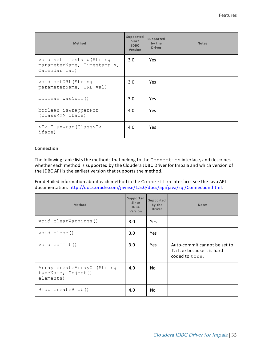| Method                                                                    | Supported<br>Since<br><b>JDBC</b><br>Version | Supported<br>by the<br><b>Driver</b> | <b>Notes</b> |
|---------------------------------------------------------------------------|----------------------------------------------|--------------------------------------|--------------|
| void setTimestamp (String<br>parameterName, Timestamp x,<br>Calendar cal) | 3.0                                          | <b>Yes</b>                           |              |
| void setURL (String<br>parameterName, URL val)                            | $3.0^{\circ}$                                | <b>Yes</b>                           |              |
| boolean wasNull()                                                         | 3.0                                          | <b>Yes</b>                           |              |
| boolean isWrapperFor<br>(Class < ?>iface)                                 | 4.0                                          | <b>Yes</b>                           |              |
| $\langle T \rangle$ T unwrap (Class $\langle T \rangle$<br>iface)         | 4.0                                          | <b>Yes</b>                           |              |

#### <span id="page-34-0"></span>**Connection**

The following table lists the methods that belong to the Connection interface, and describes whether each method is supported by the Cloudera JDBC Driver for Impala and which version of the JDBC API is the earliest version that supports the method.

For detailed information about each method in the Connection interface, see the Java API documentation: <http://docs.oracle.com/javase/1.5.0/docs/api/java/sql/Connection.html>.

| Method                                                         | Supported<br>Since<br><b>JDBC</b><br>Version | Supported<br>by the<br><b>Driver</b> | <b>Notes</b>                                                                |
|----------------------------------------------------------------|----------------------------------------------|--------------------------------------|-----------------------------------------------------------------------------|
| void clearWarnings()                                           | 3.0                                          | Yes.                                 |                                                                             |
| void close()                                                   | 3.0                                          | Yes.                                 |                                                                             |
| void commit()                                                  | 3.0                                          | <b>Yes</b>                           | Auto-commit cannot be set to<br>false because it is hard-<br>coded to true. |
| Array createArrayOf (String<br>typeName, Object[]<br>elements) | 4.0                                          | No.                                  |                                                                             |
| Blob createBlob()                                              | 4.0                                          | No.                                  |                                                                             |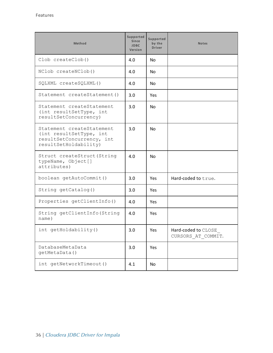| Method                                                                                                     | <b>Supported</b><br>Since<br><b>JDBC</b><br>Version | Supported<br>by the<br><b>Driver</b> | <b>Notes</b>                              |
|------------------------------------------------------------------------------------------------------------|-----------------------------------------------------|--------------------------------------|-------------------------------------------|
| Clob createClob()                                                                                          | 4.0                                                 | N <sub>o</sub>                       |                                           |
| NClob createNClob()                                                                                        | 4.0                                                 | N <sub>o</sub>                       |                                           |
| SQLXML createSQLXML()                                                                                      | 4.0                                                 | N <sub>o</sub>                       |                                           |
| Statement createStatement()                                                                                | 3.0                                                 | Yes                                  |                                           |
| Statement createStatement<br>(int resultSetType, int<br>resultSetConcurrency)                              | 3.0                                                 | No                                   |                                           |
| Statement createStatement<br>(int resultSetType, int<br>resultSetConcurrency, int<br>resultSetHoldability) | 3.0                                                 | No                                   |                                           |
| Struct createStruct (String<br>typeName, Object[]<br>attributes)                                           | 4.0                                                 | No                                   |                                           |
| boolean getAutoCommit()                                                                                    | 3.0                                                 | Yes                                  | Hard-coded to true.                       |
| String getCatalog()                                                                                        | 3.0                                                 | <b>Yes</b>                           |                                           |
| Properties getClientInfo()                                                                                 | 4.0                                                 | Yes                                  |                                           |
| String getClientInfo (String<br>name)                                                                      | 4.0                                                 | Yes                                  |                                           |
| int getHoldability()                                                                                       | 3.0                                                 | Yes                                  | Hard-coded to CLOSE<br>CURSORS AT COMMIT. |
| DatabaseMetaData<br>getMetaData()                                                                          | 3.0                                                 | Yes                                  |                                           |
| int getNetworkTimeout ()                                                                                   | 4.1                                                 | No                                   |                                           |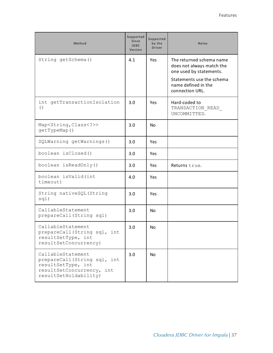| Method                                                                                                                       | Supported<br>Since<br><b>JDBC</b><br>Version | Supported<br>by the<br><b>Driver</b> | <b>Notes</b>                                                                                                                                            |
|------------------------------------------------------------------------------------------------------------------------------|----------------------------------------------|--------------------------------------|---------------------------------------------------------------------------------------------------------------------------------------------------------|
| String getSchema()                                                                                                           | 4.1                                          | Yes                                  | The returned schema name<br>does not always match the<br>one used by statements.<br>Statements use the schema<br>name defined in the<br>connection URL. |
| int getTransactionIsolation<br>( )                                                                                           | 3.0                                          | Yes                                  | Hard-coded to<br>TRANSACTION READ<br>UNCOMMITTED.                                                                                                       |
| Map <string, class<?="">&gt;<br/>getTypeMap()</string,>                                                                      | 3.0                                          | <b>No</b>                            |                                                                                                                                                         |
| SQLWarning getWarnings()                                                                                                     | 3.0                                          | Yes                                  |                                                                                                                                                         |
| boolean isClosed()                                                                                                           | 3.0                                          | Yes                                  |                                                                                                                                                         |
| boolean isReadOnly()                                                                                                         | 3.0                                          | Yes                                  | Returns true.                                                                                                                                           |
| boolean isValid(int<br>timeout)                                                                                              | 4.0                                          | Yes                                  |                                                                                                                                                         |
| String nativeSQL (String<br>sql)                                                                                             | 3.0                                          | Yes                                  |                                                                                                                                                         |
| CallableStatement<br>prepareCall(String sql)                                                                                 | 3.0                                          | <b>No</b>                            |                                                                                                                                                         |
| CallableStatement<br>prepareCall(String sql, int<br>resultSetType, int<br>resultSetConcurrency)                              | 3.0                                          | <b>No</b>                            |                                                                                                                                                         |
| CallableStatement<br>prepareCall(String sql, int<br>resultSetType, int<br>resultSetConcurrency, int<br>resultSetHoldability) | 3.0                                          | No                                   |                                                                                                                                                         |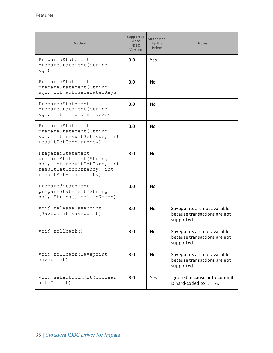| <b>Method</b>                                                                                                                      | Supported<br><b>Since</b><br><b>JDBC</b><br>Version | Supported<br>by the<br><b>Driver</b> | <b>Notes</b>                                                               |
|------------------------------------------------------------------------------------------------------------------------------------|-----------------------------------------------------|--------------------------------------|----------------------------------------------------------------------------|
| PreparedStatement<br>prepareStatement (String<br>sql)                                                                              | 3.0                                                 | Yes                                  |                                                                            |
| PreparedStatement<br>prepareStatement (String<br>sql, int autoGeneratedKeys)                                                       | 3.0                                                 | No.                                  |                                                                            |
| PreparedStatement<br>prepareStatement (String<br>sql, int[] columnIndexes)                                                         | 3.0                                                 | No.                                  |                                                                            |
| PreparedStatement<br>prepareStatement (String<br>sql, int resultSetType, int<br>resultSetConcurrency)                              | 3.0                                                 | <b>No</b>                            |                                                                            |
| PreparedStatement<br>prepareStatement (String<br>sql, int resultSetType, int<br>resultSetConcurrency, int<br>resultSetHoldability) | 3.0                                                 | <b>No</b>                            |                                                                            |
| PreparedStatement<br>prepareStatement (String<br>sql, String[] columnNames)                                                        | 3.0                                                 | <b>No</b>                            |                                                                            |
| void releaseSavepoint<br>(Savepoint savepoint)                                                                                     | 3.0                                                 | <b>No</b>                            | Savepoints are not available<br>because transactions are not<br>supported. |
| void rollback()                                                                                                                    | 3.0                                                 | No                                   | Savepoints are not available<br>because transactions are not<br>supported. |
| void rollback (Savepoint<br>savepoint)                                                                                             | 3.0                                                 | No                                   | Savepoints are not available<br>because transactions are not<br>supported. |
| void setAutoCommit (boolean<br>autoCommit)                                                                                         | 3.0                                                 | Yes                                  | Ignored because auto-commit<br>is hard-coded to true.                      |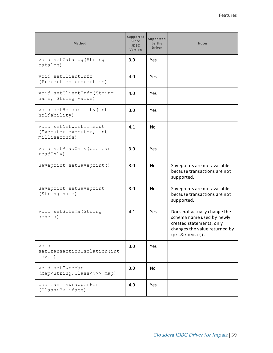| <b>Method</b>                                                      | Supported<br><b>Since</b><br><b>JDBC</b><br><b>Version</b> | Supported<br>by the<br><b>Driver</b> | <b>Notes</b>                                                                                                                           |
|--------------------------------------------------------------------|------------------------------------------------------------|--------------------------------------|----------------------------------------------------------------------------------------------------------------------------------------|
| void setCatalog (String<br>catalog)                                | 3.0                                                        | Yes                                  |                                                                                                                                        |
| void setClientInfo<br>(Properties properties)                      | 4.0                                                        | Yes                                  |                                                                                                                                        |
| void setClientInfo (String<br>name, String value)                  | 4.0                                                        | Yes                                  |                                                                                                                                        |
| void setHoldability (int<br>holdability)                           | 3.0                                                        | Yes                                  |                                                                                                                                        |
| void setNetworkTimeout<br>(Executor executor, int<br>milliseconds) | 4.1                                                        | <b>No</b>                            |                                                                                                                                        |
| void setReadOnly (boolean<br>readOnly)                             | 3.0                                                        | Yes                                  |                                                                                                                                        |
| Savepoint setSavepoint()                                           | 3.0                                                        | <b>No</b>                            | Savepoints are not available<br>because transactions are not<br>supported.                                                             |
| Savepoint setSavepoint<br>(String name)                            | 3.0                                                        | No                                   | Savepoints are not available<br>because transactions are not<br>supported.                                                             |
| void setSchema (String<br>schema)                                  | 4.1                                                        | Yes                                  | Does not actually change the<br>schema name used by newly<br>created statements; only<br>changes the value returned by<br>getSchema(). |
| void<br>setTransactionIsolation(int<br>level)                      | 3.0                                                        | Yes                                  |                                                                                                                                        |
| void setTypeMap<br>(Map <string, class<?="">&gt; map)</string,>    | 3.0                                                        | No.                                  |                                                                                                                                        |
| boolean isWrapperFor<br>(Class iface)                              | 4.0                                                        | Yes                                  |                                                                                                                                        |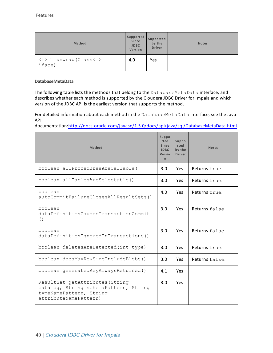| Method                                    | Supported<br>Since<br><b>JDBC</b><br>Version | Supported<br>by the<br><b>Driver</b> | <b>Notes</b> |
|-------------------------------------------|----------------------------------------------|--------------------------------------|--------------|
| <t> T unwrap (Class<t><br/>iface)</t></t> | 4.0                                          | Yes                                  |              |

## **DatabaseMetaData**

The following table lists the methods that belong to the DatabaseMetaData interface, and describes whether each method is supported by the Cloudera JDBC Driver for Impala and which version of the JDBC API is the earliest version that supports the method.

For detailed information about each method in the DatabaseMetaData interface, see the Java API

documentation[:http://docs.oracle.com/javase/1.5.0/docs/api/java/sql/DatabaseMetaData.html](http://docs.oracle.com/javase/1.5.0/docs/api/java/sql/DatabaseMetaData.html).

| Method                                                                                                                       | <b>Suppo</b><br>rted<br>Since<br><b>JDBC</b><br>Versio<br>n. | Suppo<br>rted<br>by the<br><b>Driver</b> | <b>Notes</b>   |
|------------------------------------------------------------------------------------------------------------------------------|--------------------------------------------------------------|------------------------------------------|----------------|
| boolean allProceduresAreCallable()                                                                                           | 3.0                                                          | Yes                                      | Returns true.  |
| boolean allTablesAreSelectable()                                                                                             | 3.0                                                          | <b>Yes</b>                               | Returns true.  |
| boolean<br>autoCommitFailureClosesAllResultSets()                                                                            | 4.0                                                          | Yes                                      | Returns true.  |
| boolean<br>dataDefinitionCausesTransactionCommit<br>( )                                                                      | 3.0                                                          | <b>Yes</b>                               | Returns false. |
| boolean<br>dataDefinitionIqnoredInTransactions()                                                                             | 3.0                                                          | <b>Yes</b>                               | Returns false. |
| boolean deletesAreDetected(int type)                                                                                         | 3.0                                                          | <b>Yes</b>                               | Returns true.  |
| boolean doesMaxRowSizeIncludeBlobs()                                                                                         | 3.0                                                          | <b>Yes</b>                               | Returns false. |
| boolean generatedKeyAlwaysReturned()                                                                                         | 4.1                                                          | <b>Yes</b>                               |                |
| ResultSet getAttributes (String<br>catalog, String schemaPattern, String<br>typeNamePattern, String<br>attributeNamePattern) | 3.0                                                          | <b>Yes</b>                               |                |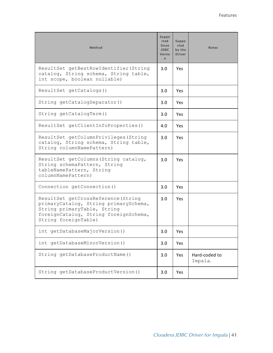| <b>Method</b>                                                                                                                                                                | Suppo<br>rted<br><b>Since</b><br><b>JDBC</b><br>Versio<br>n | Suppo<br>rted<br>by the<br><b>Driver</b> | <b>Notes</b>             |
|------------------------------------------------------------------------------------------------------------------------------------------------------------------------------|-------------------------------------------------------------|------------------------------------------|--------------------------|
| ResultSet getBestRowIdentifier (String<br>catalog, String schema, String table,<br>int scope, boolean nullable)                                                              | 3.0                                                         | <b>Yes</b>                               |                          |
| ResultSet getCatalogs()                                                                                                                                                      | 3.0                                                         | Yes                                      |                          |
| String getCatalogSeparator()                                                                                                                                                 | 3.0                                                         | Yes                                      |                          |
| String getCatalogTerm()                                                                                                                                                      | 3.0                                                         | Yes                                      |                          |
| ResultSet getClientInfoProperties()                                                                                                                                          | 4.0                                                         | <b>Yes</b>                               |                          |
| ResultSet getColumnPrivileges (String<br>catalog, String schema, String table,<br>String columnNamePattern)                                                                  | 3.0                                                         | Yes                                      |                          |
| ResultSet getColumns (String catalog,<br>String schemaPattern, String<br>tableNamePattern, String<br>columnNamePattern)                                                      | 3.0                                                         | <b>Yes</b>                               |                          |
| Connection getConnection()                                                                                                                                                   | 3.0                                                         | Yes                                      |                          |
| ResultSet getCrossReference (String<br>primaryCatalog, String primarySchema,<br>String primaryTable, String<br>foreignCatalog, String foreignSchema,<br>String foreignTable) | 3.0                                                         | Yes                                      |                          |
| int getDatabaseMajorVersion()                                                                                                                                                | 3.0                                                         | Yes                                      |                          |
| int getDatabaseMinorVersion()                                                                                                                                                | 3.0                                                         | Yes                                      |                          |
| String getDatabaseProductName()                                                                                                                                              | 3.0                                                         | Yes                                      | Hard-coded to<br>Impala. |
| String getDatabaseProductVersion()                                                                                                                                           | 3.0                                                         | Yes                                      |                          |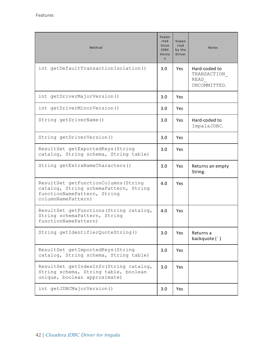| Method                                                                                                                             | <b>Suppo</b><br>rted<br><b>Since</b><br><b>JDBC</b><br>Versio<br>n | Suppo<br>rted<br>by the<br><b>Driver</b> | <b>Notes</b>                                         |
|------------------------------------------------------------------------------------------------------------------------------------|--------------------------------------------------------------------|------------------------------------------|------------------------------------------------------|
| int getDefaultTransactionIsolation()                                                                                               | 3.0                                                                | <b>Yes</b>                               | Hard-coded to<br>TRANSACTION<br>READ<br>UNCOMMITTED. |
| int getDriverMajorVersion()                                                                                                        | 3.0                                                                | Yes                                      |                                                      |
| int getDriverMinorVersion()                                                                                                        | 3.0                                                                | Yes.                                     |                                                      |
| String getDriverName()                                                                                                             | 3.0                                                                | <b>Yes</b>                               | Hard-coded to<br>ImpalaJDBC.                         |
| String getDriverVersion()                                                                                                          | 3.0                                                                | <b>Yes</b>                               |                                                      |
| ResultSet getExportedKeys (String<br>catalog, String schema, String table)                                                         | 3.0                                                                | <b>Yes</b>                               |                                                      |
| String getExtraNameCharacters()                                                                                                    | 3.0                                                                | <b>Yes</b>                               | Returns an empty<br>String.                          |
| ResultSet getFunctionColumns (String<br>catalog, String schemaPattern, String<br>functionNamePattern, String<br>columnNamePattern) | 4.0                                                                | <b>Yes</b>                               |                                                      |
| ResultSet getFunctions (String catalog,<br>String schemaPattern, String<br>functionNamePattern)                                    | 4.0                                                                | Yes.                                     |                                                      |
| String getIdentifierQuoteString()                                                                                                  | 3.0                                                                | Yes                                      | Returns a<br>backquote (`)                           |
| ResultSet getImportedKeys (String<br>catalog, String schema, String table)                                                         | 3.0                                                                | Yes                                      |                                                      |
| ResultSet getIndexInfo(String catalog,<br>String schema, String table, boolean<br>unique, boolean approximate)                     | 3.0                                                                | Yes                                      |                                                      |
| int getJDBCMajorVersion()                                                                                                          | 3.0                                                                | Yes                                      |                                                      |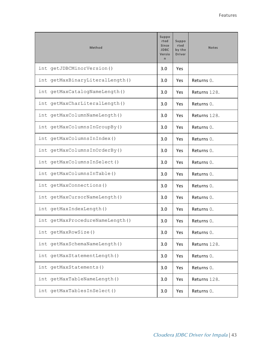| Method                          | <b>Suppo</b><br>rted<br><b>Since</b><br><b>JDBC</b><br>Versio<br>$\mathsf{n}$ | Suppo<br>rted<br>by the<br><b>Driver</b> | <b>Notes</b> |
|---------------------------------|-------------------------------------------------------------------------------|------------------------------------------|--------------|
| int getJDBCMinorVersion()       | 3.0                                                                           | Yes                                      |              |
| int getMaxBinaryLiteralLength() | 3.0                                                                           | Yes                                      | Returns 0.   |
| int getMaxCatalogNameLength()   | 3.0                                                                           | Yes                                      | Returns 128. |
| int getMaxCharLiteralLength()   | 3.0                                                                           | Yes                                      | Returns 0.   |
| int getMaxColumnNameLength()    | 3.0                                                                           | Yes                                      | Returns 128. |
| int getMaxColumnsInGroupBy()    | 3.0                                                                           | Yes                                      | Returns 0.   |
| int getMaxColumnsInIndex()      | 3.0                                                                           | Yes                                      | Returns 0.   |
| int getMaxColumnsInOrderBy()    | 3.0                                                                           | Yes                                      | Returns 0.   |
| int getMaxColumnsInSelect()     | 3.0                                                                           | Yes                                      | Returns 0.   |
| int getMaxColumnsInTable()      | 3.0                                                                           | Yes                                      | Returns 0.   |
| int getMaxConnections()         | 3.0                                                                           | Yes                                      | Returns 0.   |
| int getMaxCursorNameLength()    | 3.0                                                                           | Yes                                      | Returns 0.   |
| int getMaxIndexLength()         | 3.0                                                                           | Yes                                      | Returns 0.   |
| int getMaxProcedureNameLength() | 3.0                                                                           | Yes                                      | Returns 0.   |
| int getMaxRowSize()             | 3.0                                                                           | Yes                                      | Returns 0.   |
| int getMaxSchemaNameLength()    | 3.0                                                                           | Yes                                      | Returns 128. |
| int getMaxStatementLength()     | 3.0                                                                           | Yes                                      | Returns 0.   |
| int getMaxStatements()          | 3.0                                                                           | Yes                                      | Returns 0.   |
| int getMaxTableNameLength()     | 3.0                                                                           | Yes                                      | Returns 128. |
| int getMaxTablesInSelect()      | 3.0                                                                           | Yes                                      | Returns 0.   |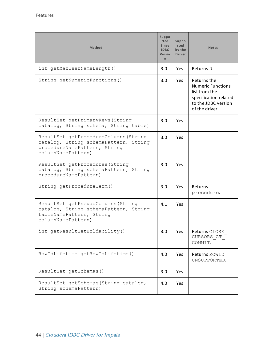| <b>Method</b>                                                                                                                        | <b>Suppo</b><br>rted<br><b>Since</b><br><b>JDBC</b><br>Versio<br>n | Suppo<br>rted<br>by the<br><b>Driver</b> | <b>Notes</b>                                                                                                               |
|--------------------------------------------------------------------------------------------------------------------------------------|--------------------------------------------------------------------|------------------------------------------|----------------------------------------------------------------------------------------------------------------------------|
| int getMaxUserNameLength()                                                                                                           | 3.0                                                                | Yes                                      | Returns 0.                                                                                                                 |
| String getNumericFunctions()                                                                                                         | 3.0                                                                | <b>Yes</b>                               | Returns the<br><b>Numeric Functions</b><br>list from the<br>specification related<br>to the JDBC version<br>of the driver. |
| ResultSet getPrimaryKeys (String<br>catalog, String schema, String table)                                                            | 3.0                                                                | Yes                                      |                                                                                                                            |
| ResultSet getProcedureColumns (String<br>catalog, String schemaPattern, String<br>procedureNamePattern, String<br>columnNamePattern) | 3.0                                                                | Yes                                      |                                                                                                                            |
| ResultSet getProcedures (String<br>catalog, String schemaPattern, String<br>procedureNamePattern)                                    | 3.0                                                                | Yes                                      |                                                                                                                            |
| String getProcedureTerm()                                                                                                            | 3.0                                                                | <b>Yes</b>                               | Returns<br>procedure.                                                                                                      |
| ResultSet getPseudoColumns (String<br>catalog, String schemaPattern, String<br>tableNamePattern, String<br>columnNamePattern)        | 4.1                                                                | Yes                                      |                                                                                                                            |
| int getResultSetHoldability()                                                                                                        | 3.0                                                                | Yes                                      | Returns CLOSE<br>CURSORS AT<br>COMMIT.                                                                                     |
| RowIdLifetime getRowIdLifetime()                                                                                                     | 4.0                                                                | Yes                                      | Returns ROWID<br>UNSUPPORTED.                                                                                              |
| ResultSet getSchemas ()                                                                                                              | 3.0                                                                | Yes                                      |                                                                                                                            |
| ResultSet getSchemas (String catalog,<br>String schemaPattern)                                                                       | 4.0                                                                | Yes                                      |                                                                                                                            |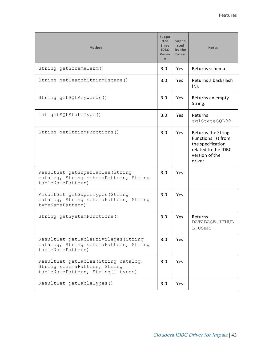| <b>Method</b>                                                                                             | Suppo<br>rted<br><b>Since</b><br><b>JDBC</b><br>Versio<br>n. | Suppo<br>rted<br>by the<br><b>Driver</b> | <b>Notes</b>                                                                                                              |
|-----------------------------------------------------------------------------------------------------------|--------------------------------------------------------------|------------------------------------------|---------------------------------------------------------------------------------------------------------------------------|
| String getSchemaTerm()                                                                                    | 3.0                                                          | <b>Yes</b>                               | Returns schema.                                                                                                           |
| String getSearchStringEscape()                                                                            | 3.0                                                          | <b>Yes</b>                               | Returns a backslash<br>$(\setminus)$ .                                                                                    |
| String getSQLKeywords()                                                                                   | 3.0                                                          | Yes                                      | Returns an empty<br>String.                                                                                               |
| int getSQLStateType()                                                                                     | 3.0                                                          | <b>Yes</b>                               | Returns<br>sqlStateSQL99.                                                                                                 |
| String getStringFunctions()                                                                               | 3.0                                                          | Yes                                      | Returns the String<br><b>Functions list from</b><br>the specification<br>related to the JDBC<br>version of the<br>driver. |
| ResultSet getSuperTables (String<br>catalog, String schemaPattern, String<br>tableNamePattern)            | 3.0                                                          | Yes                                      |                                                                                                                           |
| ResultSet getSuperTypes (String<br>catalog, String schemaPattern, String<br>typeNamePattern)              | 3.0                                                          | Yes                                      |                                                                                                                           |
| String getSystemFunctions()                                                                               | 3.0                                                          | Yes                                      | Returns<br>DATABASE, IFNUL<br>L, USER.                                                                                    |
| ResultSet getTablePrivileges (String<br>catalog, String schemaPattern, String<br>tableNamePattern)        | 3.0                                                          | Yes                                      |                                                                                                                           |
| ResultSet getTables (String catalog,<br>String schemaPattern, String<br>tableNamePattern, String[] types) | 3.0                                                          | Yes                                      |                                                                                                                           |
| ResultSet getTableTypes()                                                                                 | 3.0                                                          | Yes                                      |                                                                                                                           |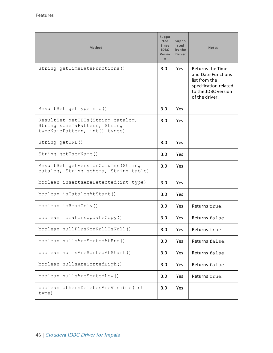| <b>Method</b>                                                                                       | Suppo<br>rted<br><b>Since</b><br><b>JDBC</b><br>Versio<br>$\mathsf{n}$ | Suppo<br>rted<br>by the<br><b>Driver</b> | <b>Notes</b>                                                                                                                     |
|-----------------------------------------------------------------------------------------------------|------------------------------------------------------------------------|------------------------------------------|----------------------------------------------------------------------------------------------------------------------------------|
| String getTimeDateFunctions()                                                                       | 3.0                                                                    | Yes                                      | <b>Returns the Time</b><br>and Date Functions<br>list from the<br>specification related<br>to the JDBC version<br>of the driver. |
| ResultSet getTypeInfo()                                                                             | 3.0                                                                    | Yes                                      |                                                                                                                                  |
| ResultSet getUDTs (String catalog,<br>String schemaPattern, String<br>typeNamePattern, int[] types) | 3.0                                                                    | Yes                                      |                                                                                                                                  |
| String getURL()                                                                                     | 3.0                                                                    | Yes                                      |                                                                                                                                  |
| String getUserName()                                                                                | 3.0                                                                    | Yes                                      |                                                                                                                                  |
| ResultSet getVersionColumns (String<br>catalog, String schema, String table)                        | 3.0                                                                    | <b>Yes</b>                               |                                                                                                                                  |
| boolean insertsAreDetected(int type)                                                                | 3.0                                                                    | Yes                                      |                                                                                                                                  |
| boolean isCatalogAtStart()                                                                          | 3.0                                                                    | Yes                                      |                                                                                                                                  |
| boolean isReadOnly()                                                                                | 3.0                                                                    | Yes                                      | Returns true.                                                                                                                    |
| boolean locatorsUpdateCopy()                                                                        | 3.0                                                                    | Yes                                      | Returns false.                                                                                                                   |
| boolean nullPlusNonNullIsNull()                                                                     | 3.0                                                                    | Yes                                      | Returns true.                                                                                                                    |
| boolean nullsAreSortedAtEnd()                                                                       | 3.0                                                                    | Yes                                      | Returns false.                                                                                                                   |
| boolean nullsAreSortedAtStart()                                                                     | 3.0                                                                    | Yes                                      | Returns false.                                                                                                                   |
| boolean nullsAreSortedHigh()                                                                        | 3.0                                                                    | Yes                                      | Returns false.                                                                                                                   |
| boolean nullsAreSortedLow()                                                                         | 3.0                                                                    | Yes                                      | Returns true.                                                                                                                    |
| boolean othersDeletesAreVisible(int<br>type)                                                        | 3.0                                                                    | Yes                                      |                                                                                                                                  |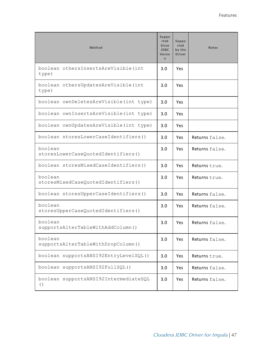| Method                                        | Suppo<br>rted<br>Since<br><b>JDBC</b><br>Versio<br>n | Suppo<br>rted<br>by the<br><b>Driver</b> | <b>Notes</b>   |
|-----------------------------------------------|------------------------------------------------------|------------------------------------------|----------------|
| boolean othersInsertsAreVisible(int<br>type)  | 3.0                                                  | Yes                                      |                |
| boolean othersUpdatesAreVisible(int<br>type)  | 3.0                                                  | Yes                                      |                |
| boolean ownDeletesAreVisible(int type)        | 3.0                                                  | <b>Yes</b>                               |                |
| boolean ownInsertsAreVisible(int type)        | 3.0                                                  | Yes                                      |                |
| boolean ownUpdatesAreVisible(int type)        | 3.0                                                  | <b>Yes</b>                               |                |
| boolean storesLowerCaseIdentifiers()          | 3.0                                                  | Yes.                                     | Returns false. |
| boolean<br>storesLowerCaseQuotedIdentifiers() | 3.0                                                  | Yes                                      | Returns false. |
| boolean storesMixedCaseIdentifiers()          | 3.0                                                  | Yes                                      | Returns true.  |
| boolean<br>storesMixedCaseQuotedIdentifiers() | 3.0                                                  | Yes                                      | Returns true.  |
| boolean storesUpperCaseIdentifiers()          | 3.0                                                  | <b>Yes</b>                               | Returns false. |
| boolean<br>storesUpperCaseQuotedIdentifiers() | 3.0                                                  | Yes                                      | Returns false. |
| boolean<br>supportsAlterTableWithAddColumn()  | 3.0                                                  | <b>Yes</b>                               | Returns false. |
| boolean<br>supportsAlterTableWithDropColumn() | 3.0                                                  | Yes                                      | Returns false. |
| boolean supportsANSI92EntryLevelSQL()         | 3.0                                                  | Yes                                      | Returns true.  |
| boolean supportsANSI92FullSQL()               | 3.0                                                  | Yes                                      | Returns false. |
| boolean supportsANSI92IntermediateSQL<br>( )  | 3.0                                                  | Yes                                      | Returns false. |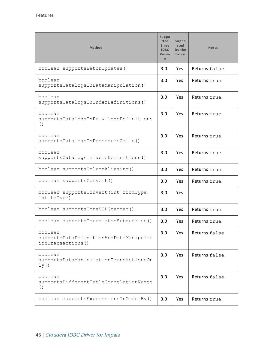| Method                                                                  | <b>Suppo</b><br>rted<br><b>Since</b><br><b>JDBC</b><br>Versio<br>$\mathsf{n}$ | Suppo<br>rted<br>by the<br><b>Driver</b> | <b>Notes</b>   |
|-------------------------------------------------------------------------|-------------------------------------------------------------------------------|------------------------------------------|----------------|
| boolean supportsBatchUpdates()                                          | 3.0                                                                           | <b>Yes</b>                               | Returns false. |
| boolean<br>supportsCatalogsInDataManipulation()                         | 3.0                                                                           | <b>Yes</b>                               | Returns true.  |
| boolean<br>supportsCatalogsInIndexDefinitions()                         | 3.0                                                                           | <b>Yes</b>                               | Returns true.  |
| boolean<br>supportsCatalogsInPrivilegeDefinitions<br>$\left( \ \right)$ | 3.0                                                                           | <b>Yes</b>                               | Returns true.  |
| boolean<br>supportsCatalogsInProcedureCalls()                           | 3.0                                                                           | Yes                                      | Returns true.  |
| boolean<br>supportsCatalogsInTableDefinitions()                         | 3.0                                                                           | <b>Yes</b>                               | Returns true.  |
| boolean supportsColumnAliasing()                                        | 3.0                                                                           | <b>Yes</b>                               | Returns true.  |
| boolean supportsConvert()                                               | 3.0                                                                           | <b>Yes</b>                               | Returns true.  |
| boolean supportsConvert (int fromType,<br>int toType)                   | 3.0                                                                           | Yes                                      |                |
| boolean supportsCoreSQLGrammar()                                        | 3.0                                                                           | <b>Yes</b>                               | Returns true.  |
| boolean supportsCorrelatedSubqueries()                                  | 3.0                                                                           | Yes.                                     | Returns true.  |
| boolean<br>supportsDataDefinitionAndDataManipulat<br>ionTransactions()  | 3.0                                                                           | Yes                                      | Returns false. |
| boolean<br>supportsDataManipulationTransactionsOn<br>1y()               | 3.0                                                                           | Yes                                      | Returns false. |
| boolean<br>supportsDifferentTableCorrelationNames<br>$\left( \ \right)$ | 3.0                                                                           | Yes                                      | Returns false. |
| boolean supportsExpressionsInOrderBy()                                  | 3.0                                                                           | Yes                                      | Returns true.  |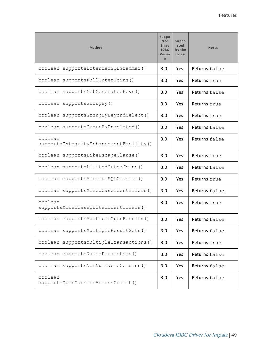| Method                                            | Suppo<br>rted<br><b>Since</b><br><b>JDBC</b><br>Versio<br>$\mathsf{n}$ | <b>Suppo</b><br>rted<br>by the<br><b>Driver</b> | <b>Notes</b>   |
|---------------------------------------------------|------------------------------------------------------------------------|-------------------------------------------------|----------------|
| boolean supportsExtendedSQLGrammar()              | 3.0                                                                    | Yes                                             | Returns false. |
| boolean supportsFullOuterJoins()                  | 3.0                                                                    | Yes                                             | Returns true.  |
| boolean supportsGetGeneratedKeys()                | 3.0                                                                    | Yes                                             | Returns false. |
| boolean supportsGroupBy()                         | 3.0                                                                    | Yes                                             | Returns true.  |
| boolean supportsGroupByBeyondSelect()             | 3.0                                                                    | Yes                                             | Returns true.  |
| boolean supportsGroupByUnrelated()                | 3.0                                                                    | Yes                                             | Returns false. |
| boolean<br>supportsIntegrityEnhancementFacility() | 3.0                                                                    | Yes                                             | Returns false. |
| boolean supportsLikeEscapeClause()                | 3.0                                                                    | Yes                                             | Returns true.  |
| boolean supportsLimitedOuterJoins()               | 3.0                                                                    | Yes                                             | Returns false. |
| boolean supportsMinimumSQLGrammar()               | 3.0                                                                    | Yes                                             | Returns true.  |
| boolean supportsMixedCaseIdentifiers()            | 3.0                                                                    | Yes                                             | Returns false. |
| boolean<br>supportsMixedCaseQuotedIdentifiers()   | 3.0                                                                    | Yes                                             | Returns true.  |
| boolean supportsMultipleOpenResults()             | 3.0                                                                    | Yes                                             | Returns false. |
| boolean supportsMultipleResultSets()              | 3.0                                                                    | Yes                                             | Returns false. |
| boolean supportsMultipleTransactions()            | 3.0                                                                    | Yes                                             | Returns true.  |
| boolean supportsNamedParameters()                 | 3.0                                                                    | Yes                                             | Returns false. |
| boolean supportsNonNullableColumns()              | 3.0                                                                    | Yes                                             | Returns false. |
| boolean<br>supportsOpenCursorsAcrossCommit()      | 3.0                                                                    | Yes                                             | Returns false. |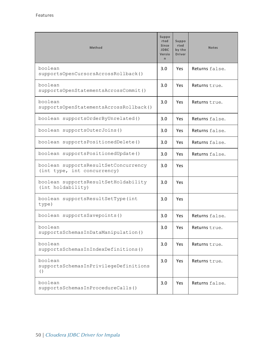| Method                                                              | <b>Suppo</b><br>rted<br><b>Since</b><br><b>JDBC</b><br>Versio<br>$\mathsf{r}$ | Suppo<br>rted<br>by the<br><b>Driver</b> | <b>Notes</b>   |
|---------------------------------------------------------------------|-------------------------------------------------------------------------------|------------------------------------------|----------------|
| boolean<br>supportsOpenCursorsAcrossRollback()                      | 3.0                                                                           | Yes                                      | Returns false. |
| boolean<br>supportsOpenStatementsAcrossCommit()                     | 3.0                                                                           | <b>Yes</b>                               | Returns true.  |
| boolean<br>supportsOpenStatementsAcrossRollback()                   | 3.0                                                                           | Yes                                      | Returns true.  |
| boolean supportsOrderByUnrelated()                                  | 3.0                                                                           | Yes                                      | Returns false. |
| boolean supportsOuterJoins()                                        | 3.0                                                                           | Yes.                                     | Returns false. |
| boolean supportsPositionedDelete()                                  | 3.0                                                                           | Yes.                                     | Returns false. |
| boolean supportsPositionedUpdate()                                  | 3.0                                                                           | <b>Yes</b>                               | Returns false. |
| boolean supportsResultSetConcurrency<br>(int type, int concurrency) | 3.0                                                                           | <b>Yes</b>                               |                |
| boolean supportsResultSetHoldability<br>(int holdability)           | 3.0                                                                           | Yes                                      |                |
| boolean supportsResultSetType(int<br>type)                          | 3.0                                                                           | Yes                                      |                |
| boolean supportsSavepoints()                                        | 3.0                                                                           | Yes                                      | Returns false. |
| boolean<br>supportsSchemasInDataManipulation()                      | 3.0                                                                           | Yes                                      | Returns true.  |
| boolean<br>supportsSchemasInIndexDefinitions()                      | 3.0                                                                           | Yes                                      | Returns true.  |
| boolean<br>supportsSchemasInPrivilegeDefinitions<br>( )             | 3.0                                                                           | Yes                                      | Returns true.  |
| boolean<br>supportsSchemasInProcedureCalls()                        | 3.0                                                                           | Yes                                      | Returns false. |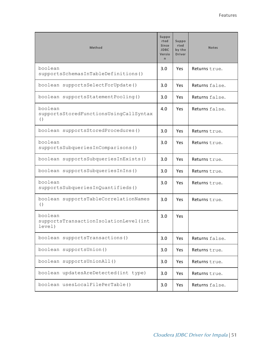| Method                                                                  | Suppo<br>rted<br><b>Since</b><br><b>JDBC</b><br>Versio<br>n. | <b>Suppo</b><br>rted<br>by the<br><b>Driver</b> | <b>Notes</b>   |
|-------------------------------------------------------------------------|--------------------------------------------------------------|-------------------------------------------------|----------------|
| boolean<br>supportsSchemasInTableDefinitions()                          | 3.0                                                          | <b>Yes</b>                                      | Returns true.  |
| boolean supportsSelectForUpdate()                                       | 3.0                                                          | <b>Yes</b>                                      | Returns false. |
| boolean supportsStatementPooling()                                      | 3.0                                                          | <b>Yes</b>                                      | Returns false. |
| boolean<br>supportsStoredFunctionsUsingCallSyntax<br>$\left( \ \right)$ | 4.0                                                          | <b>Yes</b>                                      | Returns false. |
| boolean supportsStoredProcedures()                                      | 3.0                                                          | Yes                                             | Returns true.  |
| boolean<br>supportsSubqueriesInComparisons()                            | 3.0                                                          | <b>Yes</b>                                      | Returns true.  |
| boolean supportsSubqueriesInExists()                                    | 3.0                                                          | <b>Yes</b>                                      | Returns true.  |
| boolean supportsSubqueriesInIns()                                       | 3.0                                                          | Yes                                             | Returns true.  |
| boolean<br>supportsSubqueriesInQuantifieds()                            | 3.0                                                          | <b>Yes</b>                                      | Returns true.  |
| boolean supportsTableCorrelationNames<br>( )                            | 3.0                                                          | Yes                                             | Returns true.  |
| boolean<br>supportsTransactionIsolationLevel(int<br>level)              | 3.0                                                          | Yes                                             |                |
| boolean supportsTransactions()                                          | 3.0                                                          | Yes                                             | Returns false. |
| boolean supportsUnion()                                                 | 3.0                                                          | Yes                                             | Returns true.  |
| boolean supportsUnionAll()                                              | 3.0                                                          | Yes                                             | Returns true.  |
| boolean updatesAreDetected(int type)                                    | 3.0                                                          | Yes                                             | Returns true.  |
| boolean usesLocalFilePerTable()                                         | 3.0                                                          | Yes                                             | Returns false. |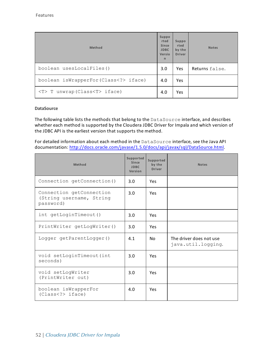| Method                               | <b>Suppo</b><br>rted<br><b>Since</b><br><b>JDBC</b><br>Versio<br>$\mathsf{r}$ | Suppo<br>rted<br>by the<br><b>Driver</b> | <b>Notes</b>   |
|--------------------------------------|-------------------------------------------------------------------------------|------------------------------------------|----------------|
| boolean usesLocalFiles()             | 3.0                                                                           | Yes                                      | Returns false. |
| boolean isWrapperFor(Class iface)    | 4.0                                                                           | Yes                                      |                |
| $(T> T$ unwrap (Class $(T> iface)$ ) | 4.0                                                                           | Yes                                      |                |

## **DataSource**

The following table lists the methods that belong to the DataSource interface, and describes whether each method is supported by the Cloudera JDBC Driver for Impala and which version of the JDBC API is the earliest version that supports the method.

For detailed information about each method in the DataSource interface, see the Java API documentation: [http://docs.oracle.com/javase/1.5.0/docs/api/javax/sql/DataSource.html.](http://docs.oracle.com/javase/1.5.0/docs/api/javax/sql/DataSource.html)

| Method                                                            | Supported<br>Since<br><b>JDBC</b><br>Version | Supported<br>by the<br><b>Driver</b> | <b>Notes</b>                                  |
|-------------------------------------------------------------------|----------------------------------------------|--------------------------------------|-----------------------------------------------|
| Connection getConnection()                                        | 3.0                                          | Yes                                  |                                               |
| Connection getConnection<br>(String username, String<br>password) | 3.0                                          | Yes                                  |                                               |
| int getLoginTimeout ()                                            | 3.0                                          | Yes                                  |                                               |
| PrintWriter getLogWriter()                                        | 3.0                                          | Yes                                  |                                               |
| Logger getParentLogger()                                          | 4.1                                          | No.                                  | The driver does not use<br>java.util.logging. |
| void setLoginTimeout (int<br>seconds)                             | 3.0                                          | Yes                                  |                                               |
| void setLogWriter<br>(PrintWriter out)                            | 3.0                                          | Yes                                  |                                               |
| boolean isWrapperFor<br>(Class < ?>iface)                         | 4.0                                          | Yes                                  |                                               |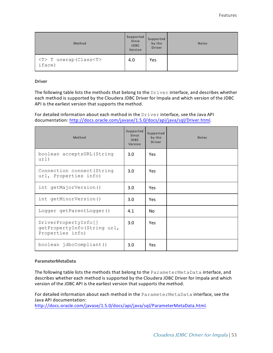| Method                                    | Supported<br>Since<br><b>JDBC</b><br>Version | Supported<br>by the<br><b>Driver</b> | <b>Notes</b> |
|-------------------------------------------|----------------------------------------------|--------------------------------------|--------------|
| <t> T unwrap (Class<t><br/>iface)</t></t> | 4.0                                          | Yes                                  |              |

**Driver**

The following table lists the methods that belong to the  $Driver$  interface, and describes whether each method is supported by the Cloudera JDBC Driver for Impala and which version of the JDBC API is the earliest version that supports the method.

For detailed information about each method in the Driver interface, see the Java API documentation: [http://docs.oracle.com/javase/1.5.0/docs/api/java/sql/Driver.html.](http://docs.oracle.com/javase/1.5.0/docs/api/java/sql/Driver.html)

| Method                                                                  | Supported<br>Since<br><b>JDBC</b><br>Version | Supported<br>by the<br><b>Driver</b> | <b>Notes</b> |
|-------------------------------------------------------------------------|----------------------------------------------|--------------------------------------|--------------|
| boolean acceptsURL (String<br>url)                                      | 3.0                                          | <b>Yes</b>                           |              |
| Connection connect (String<br>url, Properties info)                     | 3.0                                          | <b>Yes</b>                           |              |
| int getMajorVersion()                                                   | 3.0                                          | <b>Yes</b>                           |              |
| int getMinorVersion()                                                   | 3.0                                          | <b>Yes</b>                           |              |
| Logger getParentLogger()                                                | 4.1                                          | No.                                  |              |
| DriverPropertyInfo[]<br>getPropertyInfo(String url,<br>Properties info) | 3.0                                          | <b>Yes</b>                           |              |
| boolean jdbcCompliant()                                                 | 3.0 <sub>2</sub>                             | <b>Yes</b>                           |              |

### **ParameterMetaData**

The following table lists the methods that belong to the ParameterMetaData interface, and describes whether each method is supported by the Cloudera JDBC Driver for Impala and which version of the JDBC API is the earliest version that supports the method.

For detailed information about each method in the ParameterMetaData interface, see the Java API documentation:

<http://docs.oracle.com/javase/1.5.0/docs/api/java/sql/ParameterMetaData.html>.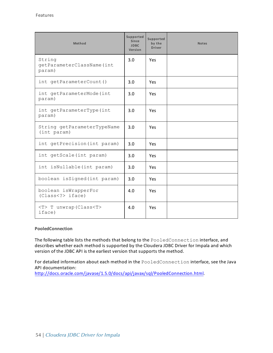| Method                                        | Supported<br><b>Since</b><br><b>JDBC</b><br>Version | Supported<br>by the<br><b>Driver</b> | <b>Notes</b> |
|-----------------------------------------------|-----------------------------------------------------|--------------------------------------|--------------|
| String<br>getParameterClassName(int<br>param) | 3.0                                                 | Yes                                  |              |
| int getParameterCount()                       | 3.0                                                 | <b>Yes</b>                           |              |
| int getParameterMode(int<br>param)            | 3.0                                                 | Yes                                  |              |
| int getParameterType(int<br>param)            | 3.0                                                 | Yes                                  |              |
| String getParameterTypeName<br>(int param)    | 3.0                                                 | Yes                                  |              |
| int getPrecision (int param)                  | 3.0                                                 | Yes                                  |              |
| int getScale (int param)                      | 3.0                                                 | Yes                                  |              |
| int isNullable (int param)                    | 3.0                                                 | Yes                                  |              |
| boolean isSigned(int param)                   | 3.0                                                 | Yes                                  |              |
| boolean isWrapperFor<br>(Class < ?>iface)     | 4.0                                                 | Yes                                  |              |
| <t> T unwrap (Class<t><br/>iface)</t></t>     | 4.0                                                 | Yes                                  |              |

# **PooledConnection**

The following table lists the methods that belong to the PooledConnection interface, and describes whether each method is supported by the Cloudera JDBC Driver for Impala and which version of the JDBC API is the earliest version that supports the method.

For detailed information about each method in the PooledConnection interface, see the Java API documentation:

[http://docs.oracle.com/javase/1.5.0/docs/api/javax/sql/PooledConnection.html.](http://docs.oracle.com/javase/1.5.0/docs/api/javax/sql/PooledConnection.html)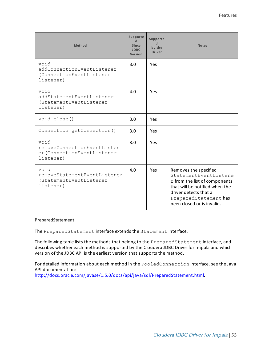| Method                                                                          | Supporte<br>$\mathbf d$<br>Since<br><b>JDBC</b><br>Version | Supporte<br>$\mathbf d$<br>by the<br><b>Driver</b> | <b>Notes</b>                                                                                                                                                                                      |
|---------------------------------------------------------------------------------|------------------------------------------------------------|----------------------------------------------------|---------------------------------------------------------------------------------------------------------------------------------------------------------------------------------------------------|
| void<br>addConnectionEventListener<br>(ConnectionEventListener<br>listener)     | 3.0                                                        | Yes                                                |                                                                                                                                                                                                   |
| void<br>addStatementEventListener<br>(StatementEventListener<br>listener)       | 4.0                                                        | Yes                                                |                                                                                                                                                                                                   |
| void close()                                                                    | 3.0                                                        | Yes                                                |                                                                                                                                                                                                   |
| Connection getConnection()                                                      | 3.0                                                        | <b>Yes</b>                                         |                                                                                                                                                                                                   |
| hiov<br>removeConnectionEventListen<br>er (ConnectionEventListener<br>listener) | 3.0                                                        | Yes                                                |                                                                                                                                                                                                   |
| void<br>removeStatementEventListener<br>(StatementEventListener<br>listener)    | 4.0                                                        | Yes                                                | Removes the specified<br>StatementEventListene<br>r from the list of components<br>that will be notified when the<br>driver detects that a<br>PreparedStatement has<br>been closed or is invalid. |

#### **PreparedStatement**

The PreparedStatement interface extends the Statement interface.

The following table lists the methods that belong to the PreparedStatement interface, and describes whether each method is supported by the Cloudera JDBC Driver for Impala and which version of the JDBC API is the earliest version that supports the method.

For detailed information about each method in the PooledConnection interface, see the Java API documentation:

[http://docs.oracle.com/javase/1.5.0/docs/api/java/sql/PreparedStatement.html.](http://docs.oracle.com/javase/1.5.0/docs/api/java/sql/PreparedStatement.html)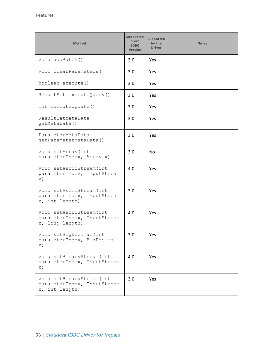| Method                                                                     | Supported<br><b>Since</b><br><b>JDBC</b><br>Version | Supported<br>by the<br><b>Driver</b> | <b>Notes</b> |
|----------------------------------------------------------------------------|-----------------------------------------------------|--------------------------------------|--------------|
| void addBatch()                                                            | 3.0                                                 | <b>Yes</b>                           |              |
| void clearParameters()                                                     | 3.0                                                 | Yes.                                 |              |
| boolean execute()                                                          | 3.0                                                 | Yes.                                 |              |
| ResultSet executeQuery()                                                   | 3.0                                                 | Yes.                                 |              |
| int executeUpdate()                                                        | 3.0                                                 | Yes.                                 |              |
| ResultSetMetaData<br>qetMetaData()                                         | 3.0                                                 | Yes                                  |              |
| ParameterMetaData<br>qetParameterMetaData()                                | 3.0                                                 | Yes.                                 |              |
| void setArray (int<br>parameterIndex, Array x)                             | 3.0                                                 | No.                                  |              |
| void setAsciiStream (int<br>parameterIndex, InputStream<br>$\mathbf{x})$   | 4.0                                                 | Yes                                  |              |
| void setAsciiStream (int<br>parameterIndex, InputStream<br>x, int length)  | 3.0                                                 | Yes                                  |              |
| void setAsciiStream (int<br>parameterIndex, InputStream<br>x, long length) | 4.0                                                 | <b>Yes</b>                           |              |
| void setBigDecimal (int<br>parameterIndex, BigDecimal<br>$\times$ )        | 3.0                                                 | Yes                                  |              |
| void setBinaryStream (int<br>parameterIndex, InputStream<br>$\times$ )     | 4.0                                                 | Yes                                  |              |
| void setBinaryStream (int<br>parameterIndex, InputStream<br>x, int length) | 3.0                                                 | Yes                                  |              |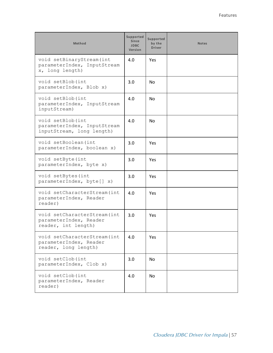| Method                                                                         | Supported<br>Since<br><b>JDBC</b><br><b>Version</b> | Supported<br>by the<br><b>Driver</b> | <b>Notes</b> |
|--------------------------------------------------------------------------------|-----------------------------------------------------|--------------------------------------|--------------|
| void setBinaryStream (int<br>parameterIndex, InputStream<br>x, long length)    | 4.0                                                 | Yes                                  |              |
| void setBlob(int<br>parameterIndex, Blob x)                                    | 3.0                                                 | No.                                  |              |
| void setBlob(int<br>parameterIndex, InputStream<br>inputStream)                | 4.0                                                 | No.                                  |              |
| void setBlob(int<br>parameterIndex, InputStream<br>inputStream, long length)   | 4.0                                                 | No.                                  |              |
| void setBoolean (int<br>parameterIndex, boolean x)                             | 3.0                                                 | Yes                                  |              |
| void setByte(int<br>parameterIndex, byte x)                                    | 3.0                                                 | Yes                                  |              |
| void setBytes (int<br>parameterIndex, byte[] x)                                | 3.0                                                 | Yes.                                 |              |
| void setCharacterStream (int<br>parameterIndex, Reader<br>reader)              | 4.0                                                 | Yes                                  |              |
| void setCharacterStream (int<br>parameterIndex, Reader<br>reader, int length)  | 3.0                                                 | Yes                                  |              |
| void setCharacterStream (int<br>parameterIndex, Reader<br>reader, long length) | 4.0                                                 | Yes                                  |              |
| void setClob(int<br>parameterIndex, Clob x)                                    | 3.0                                                 | No.                                  |              |
| void setClob(int<br>parameterIndex, Reader<br>reader)                          | 4.0                                                 | No.                                  |              |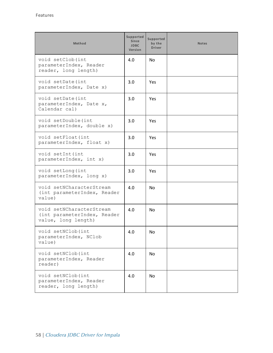| Method                                                                         | Supported<br>Since<br><b>JDBC</b><br>Version | Supported<br>by the<br><b>Driver</b> | <b>Notes</b> |
|--------------------------------------------------------------------------------|----------------------------------------------|--------------------------------------|--------------|
| void setClob(int<br>parameterIndex, Reader<br>reader, long length)             | 4.0                                          | No                                   |              |
| void setDate(int<br>parameterIndex, Date x)                                    | 3.0                                          | Yes                                  |              |
| void setDate(int<br>parameterIndex, Date x,<br>Calendar cal)                   | 3.0                                          | Yes                                  |              |
| void setDouble(int<br>parameterIndex, double x)                                | 3.0                                          | Yes                                  |              |
| void setFloat (int<br>parameterIndex, float x)                                 | 3.0                                          | Yes                                  |              |
| void setInt (int<br>parameterIndex, int x)                                     | 3.0                                          | Yes                                  |              |
| void setLong (int<br>parameterIndex, long x)                                   | 3.0                                          | Yes                                  |              |
| void setNCharacterStream<br>(int parameterIndex, Reader<br>value)              | 4.0                                          | No                                   |              |
| void setNCharacterStream<br>(int parameterIndex, Reader<br>value, long length) | 4.0                                          | No                                   |              |
| void setNClob(int<br>parameterIndex, NClob<br>value)                           | 4.0                                          | No                                   |              |
| void setNClob(int<br>parameterIndex, Reader<br>reader)                         | 4.0                                          | No                                   |              |
| void setNClob(int<br>parameterIndex, Reader<br>reader, long length)            | 4.0                                          | <b>No</b>                            |              |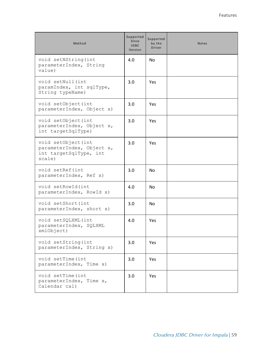| Method                                                                               | Supported<br><b>Since</b><br><b>JDBC</b><br>Version | <b>Supported</b><br>by the<br><b>Driver</b> | <b>Notes</b> |
|--------------------------------------------------------------------------------------|-----------------------------------------------------|---------------------------------------------|--------------|
| void setNString (int<br>parameterIndex, String<br>value)                             | 4.0                                                 | No.                                         |              |
| void setNull(int<br>paramIndex, int sqlType,<br>String typeName)                     | 3.0                                                 | Yes                                         |              |
| void setObject (int<br>parameterIndex, Object x)                                     | 3.0                                                 | Yes                                         |              |
| void setObject (int<br>parameterIndex, Object x,<br>int targetSqlType)               | 3.0                                                 | Yes                                         |              |
| void setObject (int<br>parameterIndex, Object x,<br>int targetSqlType, int<br>scale) | 3.0                                                 | <b>Yes</b>                                  |              |
| void setRef(int<br>parameterIndex, Ref x)                                            | 3.0                                                 | No.                                         |              |
| void setRowId(int<br>parameterIndex, RowId x)                                        | 4.0                                                 | <b>No</b>                                   |              |
| void setShort (int<br>parameterIndex, short x)                                       | 3.0                                                 | <b>No</b>                                   |              |
| void setSQLXML(int<br>parameterIndex, SQLXML<br>xmlObject)                           | 4.0                                                 | Yes                                         |              |
| void setString (int<br>parameterIndex, String x)                                     | 3.0                                                 | Yes                                         |              |
| void setTime (int<br>parameterIndex, Time x)                                         | 3.0                                                 | Yes                                         |              |
| void setTime (int<br>parameterIndex, Time x,<br>Calendar cal)                        | 3.0                                                 | Yes                                         |              |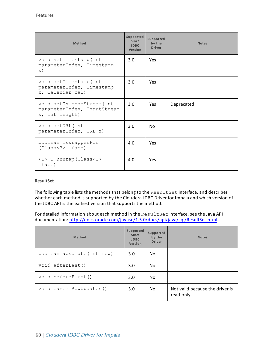| Method                                                                      | Supported<br>Since<br><b>JDBC</b><br>Version | Supported<br>by the<br><b>Driver</b> | <b>Notes</b> |
|-----------------------------------------------------------------------------|----------------------------------------------|--------------------------------------|--------------|
| void setTimestamp(int<br>parameterIndex, Timestamp<br>$\times$ )            | 3.0                                          | <b>Yes</b>                           |              |
| void setTimestamp(int<br>parameterIndex, Timestamp<br>x, Calendar cal)      | 3.0                                          | Yes                                  |              |
| void setUnicodeStream (int<br>parameterIndex, InputStream<br>x, int length) | 3.0                                          | <b>Yes</b>                           | Deprecated.  |
| void setURL(int<br>parameterIndex, URL x)                                   | 3.0                                          | <b>No</b>                            |              |
| boolean isWrapperFor<br>(Class < ?>iface)                                   | 4.0                                          | <b>Yes</b>                           |              |
| $\langle T \rangle$ T unwrap (Class $\langle T \rangle$<br>iface)           | 4.0                                          | Yes                                  |              |

## **ResultSet**

The following table lists the methods that belong to the ResultSet interface, and describes whether each method is supported by the Cloudera JDBC Driver for Impala and which version of the JDBC API is the earliest version that supports the method.

For detailed information about each method in the ResultSet interface, see the Java API documentation: <http://docs.oracle.com/javase/1.5.0/docs/api/java/sql/ResultSet.html>.

| Method                     | Supported<br>Since<br><b>JDBC</b><br>Version | Supported<br>by the<br><b>Driver</b> | <b>Notes</b>                                  |
|----------------------------|----------------------------------------------|--------------------------------------|-----------------------------------------------|
| boolean absolute (int row) | 3.0                                          | No.                                  |                                               |
| void afterLast()           | 3.0                                          | N <sub>0</sub>                       |                                               |
| void beforeFirst()         | 3.0                                          | No.                                  |                                               |
| void cancelRowUpdates()    | 3.0                                          | N <sub>0</sub>                       | Not valid because the driver is<br>read-only. |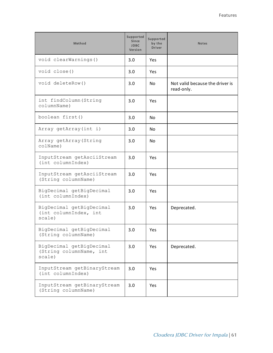| Method                                                        | Supported<br><b>Since</b><br><b>JDBC</b><br>Version | Supported<br>by the<br><b>Driver</b> | <b>Notes</b>                                  |
|---------------------------------------------------------------|-----------------------------------------------------|--------------------------------------|-----------------------------------------------|
| void clearWarnings()                                          | 3.0                                                 | Yes                                  |                                               |
| void close()                                                  | 3.0                                                 | Yes                                  |                                               |
| void deleteRow()                                              | 3.0                                                 | No.                                  | Not valid because the driver is<br>read-only. |
| int findColumn (String<br>columnName)                         | 3.0                                                 | Yes                                  |                                               |
| boolean first()                                               | 3.0                                                 | No.                                  |                                               |
| Array getArray(int i)                                         | 3.0                                                 | No.                                  |                                               |
| Array getArray (String<br>colName)                            | 3.0                                                 | No.                                  |                                               |
| InputStream getAsciiStream<br>(int columnIndex)               | 3.0                                                 | Yes                                  |                                               |
| InputStream getAsciiStream<br>(String columnName)             | 3.0                                                 | Yes                                  |                                               |
| BigDecimal getBigDecimal<br>(int columnIndex)                 | 3.0                                                 | <b>Yes</b>                           |                                               |
| BigDecimal getBigDecimal<br>(int columnIndex, int<br>scale)   | 3.0                                                 | Yes                                  | Deprecated.                                   |
| BigDecimal getBigDecimal<br>(String columnName)               | 3.0                                                 | Yes                                  |                                               |
| BigDecimal getBigDecimal<br>(String columnName, int<br>scale) | 3.0                                                 | Yes                                  | Deprecated.                                   |
| InputStream getBinaryStream<br>(int columnIndex)              | 3.0                                                 | Yes                                  |                                               |
| InputStream getBinaryStream<br>(String columnName)            | 3.0                                                 | Yes                                  |                                               |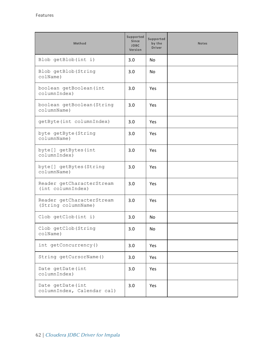| Method                                           | Supported<br>Since<br><b>JDBC</b><br>Version | Supported<br>by the<br><b>Driver</b> | <b>Notes</b> |
|--------------------------------------------------|----------------------------------------------|--------------------------------------|--------------|
| Blob getBlob(int i)                              | 3.0                                          | No.                                  |              |
| Blob getBlob (String<br>colName)                 | 3.0                                          | No                                   |              |
| boolean getBoolean (int<br>columnIndex)          | 3.0                                          | Yes                                  |              |
| boolean getBoolean (String<br>columnName)        | 3.0                                          | Yes                                  |              |
| getByte(int columnIndex)                         | 3.0                                          | Yes                                  |              |
| byte getByte (String<br>columnName)              | 3.0                                          | Yes                                  |              |
| byte[] getBytes(int<br>columnIndex)              | 3.0                                          | Yes                                  |              |
| byte[] getBytes(String<br>columnName)            | 3.0                                          | Yes                                  |              |
| Reader getCharacterStream<br>(int columnIndex)   | 3.0                                          | Yes                                  |              |
| Reader getCharacterStream<br>(String columnName) | 3.0                                          | <b>Yes</b>                           |              |
| Clob getClob(int i)                              | 3.0                                          | No.                                  |              |
| Clob getClob (String<br>colName)                 | 3.0                                          | No                                   |              |
| int getConcurrency()                             | 3.0                                          | Yes                                  |              |
| String getCursorName()                           | 3.0                                          | Yes                                  |              |
| Date getDate(int<br>columnIndex)                 | 3.0                                          | Yes                                  |              |
| Date getDate(int<br>columnIndex, Calendar cal)   | 3.0                                          | Yes                                  |              |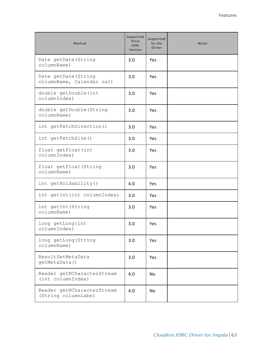| Method                                            | Supported<br><b>Since</b><br><b>JDBC</b><br>Version | Supported<br>by the<br><b>Driver</b> | <b>Notes</b> |
|---------------------------------------------------|-----------------------------------------------------|--------------------------------------|--------------|
| Date getDate (String<br>columnName)               | 3.0                                                 | <b>Yes</b>                           |              |
| Date getDate (String<br>columnName, Calendar cal) | 3.0                                                 | Yes                                  |              |
| double getDouble(int<br>columnIndex)              | 3.0                                                 | Yes                                  |              |
| double getDouble (String<br>columnName)           | 3.0                                                 | Yes                                  |              |
| int getFetchDirection()                           | 3.0                                                 | Yes                                  |              |
| int getFetchSize()                                | 3.0                                                 | Yes                                  |              |
| float getFloat (int<br>columnIndex)               | 3.0                                                 | Yes                                  |              |
| float getFloat (String<br>columnName)             | 3.0                                                 | Yes                                  |              |
| int getHoldability ()                             | 4.0                                                 | Yes                                  |              |
| int getInt (int columnIndex)                      | 3.0                                                 | Yes                                  |              |
| int getInt (String<br>columnName)                 | 3.0                                                 | Yes                                  |              |
| long getLong (int<br>columnIndex)                 | 3.0                                                 | Yes                                  |              |
| long getLong (String<br>columnName)               | 3.0                                                 | Yes                                  |              |
| ResultSetMetaData<br>getMetaData()                | 3.0                                                 | Yes                                  |              |
| Reader getNCharacterStream<br>(int columnIndex)   | 4.0                                                 | No                                   |              |
| Reader getNCharacterStream<br>(String columnLabel | 4.0                                                 | No                                   |              |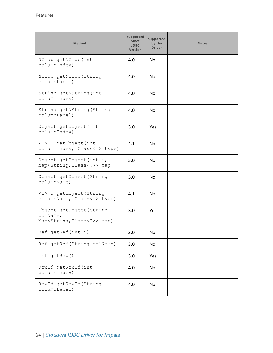| Method                                                                              | Supported<br><b>Since</b><br><b>JDBC</b><br>Version | Supported<br>by the<br><b>Driver</b> | <b>Notes</b> |
|-------------------------------------------------------------------------------------|-----------------------------------------------------|--------------------------------------|--------------|
| NClob getNClob(int<br>columnIndex)                                                  | 4.0                                                 | <b>No</b>                            |              |
| NClob getNClob (String<br>columnLabel)                                              | 4.0                                                 | <b>No</b>                            |              |
| String getNString (int<br>columnIndex)                                              | 4.0                                                 | N <sub>o</sub>                       |              |
| String getNString (String<br>columnLabel)                                           | 4.0                                                 | No                                   |              |
| Object getObject (int<br>columnIndex)                                               | 3.0                                                 | Yes                                  |              |
| <t> T getObject(int<br/>columnIndex, Class<t> type)</t></t>                         | 4.1                                                 | <b>No</b>                            |              |
| Object getObject(int i,<br>Map <string, class<?="">&gt; map)</string,>              | 3.0                                                 | No                                   |              |
| Object getObject (String<br>columnName)                                             | 3.0                                                 | No                                   |              |
| <t> T getObject (String<br/>columnName, Class<t> type)</t></t>                      | 4.1                                                 | No                                   |              |
| Object getObject (String<br>colName,<br>Map <string, class<?="">&gt; map)</string,> | 3.0                                                 | Yes                                  |              |
| Ref getRef(int i)                                                                   | 3.0                                                 | No.                                  |              |
| Ref getRef (String colName)                                                         | 3.0                                                 | No                                   |              |
| int getRow()                                                                        | 3.0                                                 | Yes                                  |              |
| RowId getRowId(int<br>columnIndex)                                                  | 4.0                                                 | No                                   |              |
| RowId getRowId (String<br>columnLabel)                                              | 4.0                                                 | No                                   |              |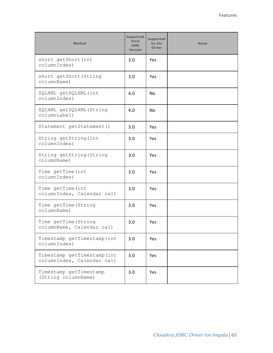| Method                                                    | <b>Supported</b><br>Since<br><b>JDBC</b><br>Version | Supported<br>by the<br><b>Driver</b> | <b>Notes</b> |
|-----------------------------------------------------------|-----------------------------------------------------|--------------------------------------|--------------|
| short getShort (int<br>columnIndex)                       | 3.0                                                 | Yes                                  |              |
| short getShort (String<br>columnName)                     | 3.0                                                 | Yes                                  |              |
| SQLXML getSQLXML(int<br>columnIndex)                      | 4.0                                                 | <b>No</b>                            |              |
| SQLXML getSQLXML(String<br>columnLabel)                   | 4.0                                                 | No                                   |              |
| Statement getStatement ()                                 | 3.0                                                 | <b>Yes</b>                           |              |
| String getString (int<br>columnIndex)                     | 3.0                                                 | <b>Yes</b>                           |              |
| String getString (String<br>columnName)                   | 3.0                                                 | <b>Yes</b>                           |              |
| Time getTime (int<br>columnIndex)                         | 3.0                                                 | <b>Yes</b>                           |              |
| Time getTime (int<br>columnIndex, Calendar cal)           | 3.0                                                 | Yes                                  |              |
| Time getTime (String<br>columnName)                       | 3.0                                                 | <b>Yes</b>                           |              |
| Time getTime (String<br>columnName, Calendar cal)         | 3.0                                                 | <b>Yes</b>                           |              |
| Timestamp getTimestamp (int<br>columnIndex)               | 3.0                                                 | Yes                                  |              |
| Timestamp getTimestamp (int<br>columnIndex, Calendar cal) | 3.0                                                 | Yes                                  |              |
| Timestamp getTimestamp<br>(String columnName)             | 3.0                                                 | Yes                                  |              |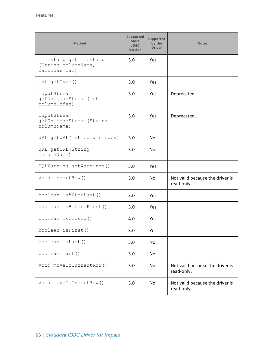| Method                                                         | Supported<br>Since<br><b>JDBC</b><br>Version | Supported<br>by the<br><b>Driver</b> | <b>Notes</b>                                  |
|----------------------------------------------------------------|----------------------------------------------|--------------------------------------|-----------------------------------------------|
| Timestamp getTimestamp<br>(String columnName,<br>Calendar cal) | 3.0                                          | Yes                                  |                                               |
| int getType()                                                  | 3.0                                          | <b>Yes</b>                           |                                               |
| InputStream<br>getUnicodeStream(int<br>columnIndex)            | 3.0                                          | Yes                                  | Deprecated.                                   |
| InputStream<br>getUnicodeStream (String<br>columnName)         | 3.0                                          | Yes                                  | Deprecated.                                   |
| URL getURL(int columnIndex)                                    | 3.0                                          | No                                   |                                               |
| URL getURL (String<br>columnName)                              | 3.0                                          | No                                   |                                               |
| SQLWarning getWarnings()                                       | 3.0                                          | Yes                                  |                                               |
| void insertRow()                                               | 3.0                                          | <b>No</b>                            | Not valid because the driver is<br>read-only. |
| boolean isAfterLast()                                          | 3.0                                          | Yes                                  |                                               |
| boolean isBeforeFirst()                                        | 3.0                                          | Yes                                  |                                               |
| boolean isClosed()                                             | 4.0                                          | Yes                                  |                                               |
| boolean isFirst()                                              | 3.0                                          | Yes                                  |                                               |
| boolean isLast()                                               | 3.0                                          | <b>No</b>                            |                                               |
| boolean last()                                                 | 3.0                                          | No                                   |                                               |
| void moveToCurrentRow()                                        | 3.0                                          | No                                   | Not valid because the driver is<br>read-only. |
| void moveToInsertRow()                                         | 3.0                                          | No                                   | Not valid because the driver is<br>read-only. |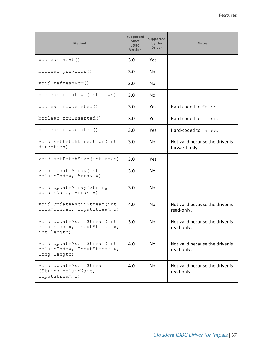| Method                                                                    | Supported<br><b>Since</b><br><b>JDBC</b><br>Version | Supported<br>by the<br><b>Driver</b> | <b>Notes</b>                                     |
|---------------------------------------------------------------------------|-----------------------------------------------------|--------------------------------------|--------------------------------------------------|
| boolean next()                                                            | 3.0                                                 | Yes                                  |                                                  |
| boolean previous ()                                                       | 3.0                                                 | N <sub>o</sub>                       |                                                  |
| void refreshRow()                                                         | 3.0                                                 | N <sub>o</sub>                       |                                                  |
| boolean relative (int rows)                                               | 3.0                                                 | N <sub>o</sub>                       |                                                  |
| boolean rowDeleted()                                                      | 3.0                                                 | Yes.                                 | Hard-coded to false.                             |
| boolean rowInserted()                                                     | 3.0                                                 | Yes                                  | Hard-coded to false.                             |
| boolean rowUpdated()                                                      | 3.0                                                 | Yes                                  | Hard-coded to false.                             |
| void setFetchDirection (int<br>direction)                                 | 3.0                                                 | N <sub>o</sub>                       | Not valid because the driver is<br>forward-only. |
| void setFetchSize(int rows)                                               | 3.0                                                 | Yes                                  |                                                  |
| void updateArray (int<br>columnIndex, Array x)                            | 3.0                                                 | <b>No</b>                            |                                                  |
| void updateArray (String<br>columnName, Array x)                          | 3.0                                                 | No.                                  |                                                  |
| void updateAsciiStream(int<br>columnIndex, InputStream x)                 | 4.0                                                 | No                                   | Not valid because the driver is<br>read-only.    |
| void updateAsciiStream(int<br>columnIndex, InputStream x,<br>int length)  | 3.0                                                 | <b>No</b>                            | Not valid because the driver is<br>read-only.    |
| void updateAsciiStream(int<br>columnIndex, InputStream x,<br>long length) | 4.0                                                 | <b>No</b>                            | Not valid because the driver is<br>read-only.    |
| void updateAsciiStream<br>(String columnName,<br>InputStream x)           | 4.0                                                 | No                                   | Not valid because the driver is<br>read-only.    |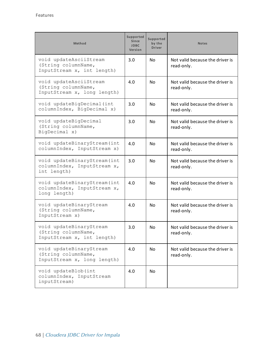| <b>Method</b>                                                                 | Supported<br>Since<br><b>JDBC</b><br>Version | Supported<br>by the<br><b>Driver</b> | <b>Notes</b>                                  |
|-------------------------------------------------------------------------------|----------------------------------------------|--------------------------------------|-----------------------------------------------|
| void updateAsciiStream<br>(String columnName,<br>InputStream x, int length)   | 3.0                                          | No.                                  | Not valid because the driver is<br>read-only. |
| void updateAsciiStream<br>(String columnName,<br>InputStream x, long length)  | 4.0                                          | No.                                  | Not valid because the driver is<br>read-only. |
| void updateBigDecimal (int<br>columnIndex, BigDecimal x)                      | 3.0                                          | No.                                  | Not valid because the driver is<br>read-only. |
| void updateBigDecimal<br>(String columnName,<br>BigDecimal x)                 | 3.0                                          | No.                                  | Not valid because the driver is<br>read-only. |
| void updateBinaryStream (int<br>columnIndex, InputStream x)                   | 4.0                                          | No.                                  | Not valid because the driver is<br>read-only. |
| void updateBinaryStream (int<br>columnIndex, InputStream x,<br>int length)    | 3.0                                          | <b>No</b>                            | Not valid because the driver is<br>read-only. |
| void updateBinaryStream(int<br>columnIndex, InputStream x,<br>long length)    | 4.0                                          | <b>No</b>                            | Not valid because the driver is<br>read-only. |
| void updateBinaryStream<br>(String columnName,<br>InputStream x)              | 4.0                                          | No.                                  | Not valid because the driver is<br>read-only. |
| void updateBinaryStream<br>(String columnName,<br>InputStream x, int length)  | 3.0                                          | N <sub>o</sub>                       | Not valid because the driver is<br>read-only. |
| void updateBinaryStream<br>(String columnName,<br>InputStream x, long length) | 4.0                                          | No.                                  | Not valid because the driver is<br>read-only. |
| void updateBlob(int<br>columnIndex, InputStream<br>inputStream)               | 4.0                                          | N <sub>o</sub>                       |                                               |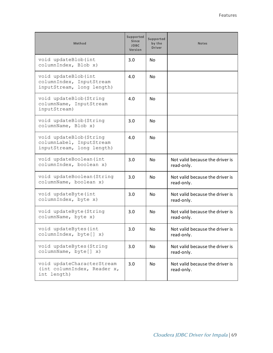| <b>Method</b>                                                                    | <b>Supported</b><br><b>Since</b><br><b>JDBC</b><br>Version | Supported<br>by the<br><b>Driver</b> | <b>Notes</b>                                  |
|----------------------------------------------------------------------------------|------------------------------------------------------------|--------------------------------------|-----------------------------------------------|
| void updateBlob(int<br>columnIndex, Blob x)                                      | 3.0                                                        | <b>No</b>                            |                                               |
| void updateBlob(int<br>columnIndex, InputStream<br>inputStream, long length)     | 4.0                                                        | <b>No</b>                            |                                               |
| void updateBlob (String<br>columnName, InputStream<br>inputStream)               | 4.0                                                        | No.                                  |                                               |
| void updateBlob (String<br>columnName, Blob x)                                   | 3.0                                                        | No.                                  |                                               |
| void updateBlob (String<br>columnLabel, InputStream<br>inputStream, long length) | 4.0                                                        | <b>No</b>                            |                                               |
| void updateBoolean (int<br>columnIndex, boolean x)                               | 3.0                                                        | <b>No</b>                            | Not valid because the driver is<br>read-only. |
| void updateBoolean (String<br>columnName, boolean x)                             | 3.0                                                        | <b>No</b>                            | Not valid because the driver is<br>read-only. |
| void updateByte (int<br>columnIndex, byte x)                                     | 3.0                                                        | <b>No</b>                            | Not valid because the driver is<br>read-only. |
| void updateByte (String<br>columnName, byte x)                                   | 3.0                                                        | No.                                  | Not valid because the driver is<br>read-only. |
| void updateBytes (int<br>columnIndex, byte[] x)                                  | 3.0                                                        | No                                   | Not valid because the driver is<br>read-only. |
| void updateBytes (String<br>columnName, byte[] x)                                | 3.0                                                        | N <sub>o</sub>                       | Not valid because the driver is<br>read-only. |
| void updateCharacterStream<br>(int columnIndex, Reader x,<br>int length)         | 3.0                                                        | <b>No</b>                            | Not valid because the driver is<br>read-only. |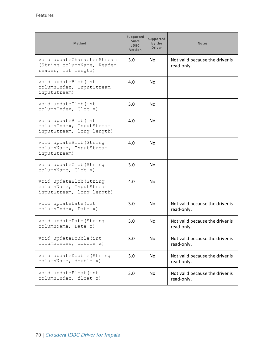| Method                                                                          | <b>Supported</b><br><b>Since</b><br><b>JDBC</b><br>Version | Supported<br>by the<br><b>Driver</b> | <b>Notes</b>                                  |
|---------------------------------------------------------------------------------|------------------------------------------------------------|--------------------------------------|-----------------------------------------------|
| void updateCharacterStream<br>(String columnName, Reader<br>reader, int length) | 3.0                                                        | No.                                  | Not valid because the driver is<br>read-only. |
| void updateBlob(int<br>columnIndex, InputStream<br>inputStream)                 | 4.0                                                        | No.                                  |                                               |
| void updateClob(int<br>columnIndex, Clob x)                                     | 3.0                                                        | No.                                  |                                               |
| void updateBlob(int<br>columnIndex, InputStream<br>inputStream, long length)    | 4.0                                                        | No.                                  |                                               |
| void updateBlob (String<br>columnName, InputStream<br>inputStream)              | 4.0                                                        | <b>No</b>                            |                                               |
| void updateClob (String<br>columnName, Clob x)                                  | 3.0                                                        | No.                                  |                                               |
| void updateBlob (String<br>columnName, InputStream<br>inputStream, long length) | 4.0                                                        | <b>No</b>                            |                                               |
| void updateDate(int<br>columnIndex, Date x)                                     | 3.0                                                        | No                                   | Not valid because the driver is<br>read-only. |
| void updateDate (String<br>columnName, Date x)                                  | 3.0                                                        | <b>No</b>                            | Not valid because the driver is<br>read-only. |
| void updateDouble(int<br>columnIndex, double x)                                 | 3.0                                                        | N <sub>o</sub>                       | Not valid because the driver is<br>read-only. |
| void updateDouble (String<br>columnName, double x)                              | 3.0                                                        | N <sub>o</sub>                       | Not valid because the driver is<br>read-only. |
| void updateFloat (int<br>columnIndex, float x)                                  | 3.0                                                        | N <sub>o</sub>                       | Not valid because the driver is<br>read-only. |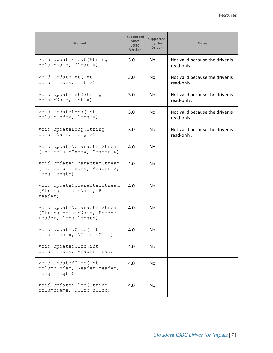| Method                                                                            | Supported<br><b>Since</b><br><b>JDBC</b><br>Version | Supported<br>by the<br><b>Driver</b> | <b>Notes</b>                                  |
|-----------------------------------------------------------------------------------|-----------------------------------------------------|--------------------------------------|-----------------------------------------------|
| void updateFloat (String<br>columnName, float x)                                  | 3.0                                                 | <b>No</b>                            | Not valid because the driver is<br>read-only. |
| void updateInt (int<br>columnIndex, int x)                                        | 3.0                                                 | <b>No</b>                            | Not valid because the driver is<br>read-only. |
| void updateInt (String<br>columnName, int x)                                      | 3.0                                                 | <b>No</b>                            | Not valid because the driver is<br>read-only. |
| void updateLong (int<br>columnIndex, long x)                                      | 3.0                                                 | <b>No</b>                            | Not valid because the driver is<br>read-only. |
| void updateLong (String<br>columnName, long x)                                    | 3.0                                                 | <b>No</b>                            | Not valid because the driver is<br>read-only. |
| void updateNCharacterStream<br>(int columnIndex, Reader x)                        | 4.0                                                 | <b>No</b>                            |                                               |
| void updateNCharacterStream<br>(int columnIndex, Reader x,<br>long length)        | 4.0                                                 | No.                                  |                                               |
| void updateNCharacterStream<br>(String columnName, Reader<br>reader)              | 4.0                                                 | <b>No</b>                            |                                               |
| void updateNCharacterStream<br>(String columnName, Reader<br>reader, long length) | 4.0                                                 | <b>No</b>                            |                                               |
| void updateNClob(int<br>columnIndex, NClob nClob)                                 | 4.0                                                 | <b>No</b>                            |                                               |
| void updateNClob(int<br>columnIndex, Reader reader)                               | 4.0                                                 | <b>No</b>                            |                                               |
| void updateNClob(int<br>columnIndex, Reader reader,<br>long length)               | 4.0                                                 | <b>No</b>                            |                                               |
| void updateNClob (String<br>columnName, NClob nClob)                              | 4.0                                                 | <b>No</b>                            |                                               |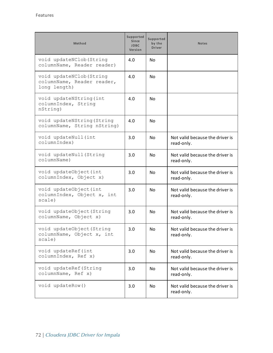| <b>Method</b>                                                          | Supported<br><b>Since</b><br><b>JDBC</b><br>Version | Supported<br>by the<br><b>Driver</b> | <b>Notes</b>                                  |
|------------------------------------------------------------------------|-----------------------------------------------------|--------------------------------------|-----------------------------------------------|
| void updateNClob (String<br>columnName, Reader reader)                 | 4.0                                                 | <b>No</b>                            |                                               |
| void updateNClob (String<br>columnName, Reader reader,<br>long length) | 4.0                                                 | No.                                  |                                               |
| void updateNString (int<br>columnIndex, String<br>nString)             | 4.0                                                 | No.                                  |                                               |
| void updateNString (String<br>columnName, String nString)              | 4.0                                                 | No.                                  |                                               |
| void updateNull (int<br>columnIndex)                                   | 3.0                                                 | <b>No</b>                            | Not valid because the driver is<br>read-only. |
| void updateNull (String<br>columnName)                                 | 3.0                                                 | No                                   | Not valid because the driver is<br>read-only. |
| void updateObject (int<br>columnIndex, Object x)                       | 3.0                                                 | <b>No</b>                            | Not valid because the driver is<br>read-only. |
| void updateObject (int<br>columnIndex, Object x, int<br>scale)         | 3.0                                                 | No.                                  | Not valid because the driver is<br>read-only. |
| void updateObject (String<br>columnName, Object x)                     | 3.0                                                 | No.                                  | Not valid because the driver is<br>read-only. |
| void updateObject (String<br>columnName, Object x, int<br>scale)       | 3.0                                                 | No                                   | Not valid because the driver is<br>read-only. |
| void updateRef(int<br>columnIndex, Ref x)                              | 3.0                                                 | No                                   | Not valid because the driver is<br>read-only. |
| void updateRef (String<br>columnName, Ref x)                           | 3.0                                                 | <b>No</b>                            | Not valid because the driver is<br>read-only. |
| void updateRow()                                                       | 3.0                                                 | N <sub>o</sub>                       | Not valid because the driver is<br>read-only. |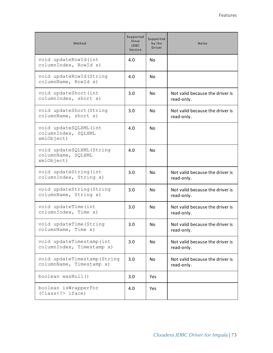| <b>Method</b>                                                | <b>Supported</b><br><b>Since</b><br><b>JDBC</b><br>Version | Supported<br>by the<br><b>Driver</b> | <b>Notes</b>                                  |
|--------------------------------------------------------------|------------------------------------------------------------|--------------------------------------|-----------------------------------------------|
| void updateRowId(int<br>columnIndex, RowId x)                | 4.0                                                        | No                                   |                                               |
| void updateRowId(String<br>columnName, RowId x)              | 4.0                                                        | No                                   |                                               |
| void updateShort (int<br>columnIndex, short x)               | 3.0                                                        | No.                                  | Not valid because the driver is<br>read-only. |
| void updateShort (String<br>columnName, short x)             | 3.0                                                        | No                                   | Not valid because the driver is<br>read-only. |
| void updateSQLXML(int<br>columnIndex, SQLXML<br>xmlObject)   | 4.0                                                        | N <sub>o</sub>                       |                                               |
| void updateSQLXML(String<br>columnName, SQLXML<br>xmlObject) | 4.0                                                        | No                                   |                                               |
| void updateString (int<br>columnIndex, String x)             | 3.0                                                        | No                                   | Not valid because the driver is<br>read-only. |
| void updateString (String<br>columnName, String x)           | 3.0                                                        | No.                                  | Not valid because the driver is<br>read-only. |
| void updateTime (int<br>columnIndex, Time x)                 | 3.0                                                        | No                                   | Not valid because the driver is<br>read-only. |
| void updateTime (String<br>columnName, Time x)               | 3.0                                                        | No                                   | Not valid because the driver is<br>read-only. |
| void updateTimestamp(int<br>columnIndex, Timestamp x)        | 3.0                                                        | No                                   | Not valid because the driver is<br>read-only. |
| void updateTimestamp (String<br>columnName, Timestamp x)     | 3.0                                                        | <b>No</b>                            | Not valid because the driver is<br>read-only. |
| boolean wasNull()                                            | 3.0                                                        | Yes                                  |                                               |
| boolean isWrapperFor<br>(Class iface)                        | 4.0                                                        | Yes                                  |                                               |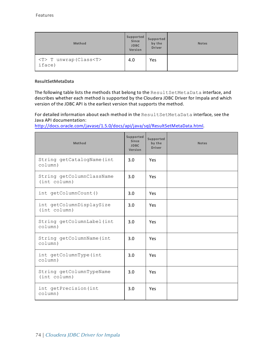| Method                                    | Supported<br>Since<br><b>JDBC</b><br>Version | Supported<br>by the<br><b>Driver</b> | <b>Notes</b> |
|-------------------------------------------|----------------------------------------------|--------------------------------------|--------------|
| <t> T unwrap (Class<t><br/>iface)</t></t> | 4.0                                          | Yes                                  |              |

### **ResultSetMetaData**

The following table lists the methods that belong to the ResultSetMetaData interface, and describes whether each method is supported by the Cloudera JDBC Driver for Impala and which version of the JDBC API is the earliest version that supports the method.

For detailed information about each method in the ResultSetMetaData interface, see the Java API documentation:

<http://docs.oracle.com/javase/1.5.0/docs/api/java/sql/ResultSetMetaData.html>.

| Method                                    | <b>Supported</b><br>Since<br><b>JDBC</b><br>Version | <b>Supported</b><br>by the<br><b>Driver</b> | <b>Notes</b> |
|-------------------------------------------|-----------------------------------------------------|---------------------------------------------|--------------|
| String getCatalogName (int<br>$colum$ )   | 3.0                                                 | Yes                                         |              |
| String getColumnClassName<br>(int column) | 3.0                                                 | Yes                                         |              |
| int getColumnCount()                      | 3.0                                                 | Yes                                         |              |
| int getColumnDisplaySize<br>(int column)  | 3.0                                                 | Yes                                         |              |
| String getColumnLabel (int<br>column)     | 3.0                                                 | Yes                                         |              |
| String getColumnName (int<br>column)      | 3.0                                                 | Yes                                         |              |
| int getColumnType(int<br>column)          | 3.0                                                 | Yes                                         |              |
| String getColumnTypeName<br>(int column)  | 3.0                                                 | Yes                                         |              |
| int getPrecision (int<br>column)          | 3.0                                                 | Yes                                         |              |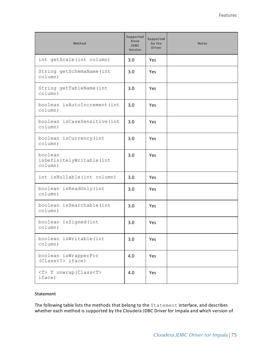| Method                                        | Supported<br>Since<br><b>JDBC</b><br>Version | Supported<br>by the<br><b>Driver</b> | <b>Notes</b> |
|-----------------------------------------------|----------------------------------------------|--------------------------------------|--------------|
| int getScale (int column)                     | 3.0                                          | Yes                                  |              |
| String getSchemaName (int<br>colum)           | 3.0                                          | Yes                                  |              |
| String getTableName(int<br>colum)             | 3.0                                          | <b>Yes</b>                           |              |
| boolean isAutoIncrement(int<br>colum)         | 3.0                                          | <b>Yes</b>                           |              |
| boolean isCaseSensitive(int<br>colum)         | 3.0                                          | Yes                                  |              |
| boolean isCurrency(int<br>column)             | 3.0                                          | <b>Yes</b>                           |              |
| boolean<br>isDefinitelyWritable(int<br>colum) | 3.0                                          | Yes                                  |              |
| int isNullable(int column)                    | 3.0                                          | Yes                                  |              |
| boolean isReadOnly(int<br>column)             | 3.0                                          | Yes                                  |              |
| boolean isSearchable(int<br>column)           | 3.0                                          | Yes                                  |              |
| boolean isSigned (int<br>colum)               | 3.0                                          | Yes                                  |              |
| boolean isWritable(int<br>colum)              | 3.0                                          | Yes                                  |              |
| boolean isWrapperFor<br>(Class iface)         | 4.0                                          | Yes                                  |              |
| <t> T unwrap (Class<t><br/>iface)</t></t>     | 4.0                                          | Yes                                  |              |

### **Statement**

The following table lists the methods that belong to the Statement interface, and describes whether each method is supported by the Cloudera JDBC Driver for Impala and which version of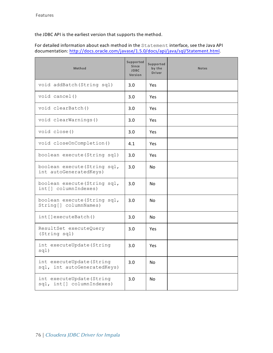the JDBC API is the earliest version that supports the method.

For detailed information about each method in the Statement interface, see the Java API documentation: [http://docs.oracle.com/javase/1.5.0/docs/api/java/sql/Statement.html.](http://docs.oracle.com/javase/1.5.0/docs/api/java/sql/Statement.html)

| Method                                                   | Supported<br><b>Since</b><br><b>JDBC</b><br>Version | Supported<br>by the<br><b>Driver</b> | <b>Notes</b> |
|----------------------------------------------------------|-----------------------------------------------------|--------------------------------------|--------------|
| void addBatch (String sql)                               | 3.0                                                 | Yes                                  |              |
| void cancel()                                            | 3.0                                                 | Yes                                  |              |
| void clearBatch()                                        | 3.0                                                 | Yes                                  |              |
| void clearWarnings()                                     | 3.0                                                 | Yes                                  |              |
| void close()                                             | 3.0                                                 | Yes                                  |              |
| void closeOnCompletion()                                 | 4.1                                                 | Yes                                  |              |
| boolean execute (String sql)                             | 3.0                                                 | Yes                                  |              |
| boolean execute (String sql,<br>int autoGeneratedKeys)   | 3.0                                                 | <b>No</b>                            |              |
| boolean execute (String sql,<br>int[] columnIndexes)     | 3.0                                                 | No                                   |              |
| boolean execute (String sql,<br>String[] columnNames)    | 3.0                                                 | N <sub>0</sub>                       |              |
| int[]executeBatch()                                      | 3.0                                                 | No.                                  |              |
| ResultSet executeQuery<br>(String sql)                   | 3.0                                                 | Yes                                  |              |
| int executeUpdate (String<br>sql)                        | 3.0                                                 | Yes                                  |              |
| int executeUpdate (String<br>sql, int autoGeneratedKeys) | 3.0                                                 | No                                   |              |
| int executeUpdate (String<br>sql, int[] columnIndexes)   | 3.0                                                 | No                                   |              |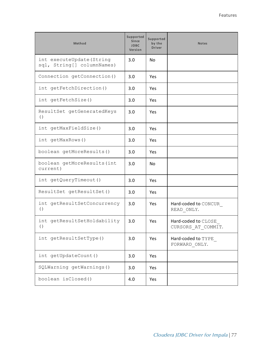| Method                                                  | Supported<br><b>Since</b><br><b>JDBC</b><br>Version | Supported<br>by the<br><b>Driver</b> | <b>Notes</b>                              |
|---------------------------------------------------------|-----------------------------------------------------|--------------------------------------|-------------------------------------------|
| int executeUpdate (String<br>sql, String[] columnNames) | 3.0                                                 | <b>No</b>                            |                                           |
| Connection getConnection()                              | 3.0                                                 | Yes                                  |                                           |
| int getFetchDirection()                                 | 3.0                                                 | Yes                                  |                                           |
| int getFetchSize()                                      | 3.0                                                 | Yes                                  |                                           |
| ResultSet getGeneratedKeys<br>( )                       | 3.0                                                 | Yes                                  |                                           |
| int getMaxFieldSize()                                   | 3.0                                                 | <b>Yes</b>                           |                                           |
| int getMaxRows()                                        | 3.0                                                 | Yes                                  |                                           |
| boolean getMoreResults()                                | 3.0                                                 | <b>Yes</b>                           |                                           |
| boolean getMoreResults (int<br>current)                 | 3.0                                                 | <b>No</b>                            |                                           |
| int getQueryTimeout()                                   | 3.0                                                 | Yes                                  |                                           |
| ResultSet getResultSet()                                | 3.0                                                 | Yes                                  |                                           |
| int getResultSetConcurrency<br>( )                      | 3.0                                                 | Yes                                  | Hard-coded to CONCUR<br>READ ONLY.        |
| int getResultSetHoldability<br>( )                      | 3.0                                                 | Yes                                  | Hard-coded to CLOSE<br>CURSORS AT COMMIT. |
| int getResultSetType()                                  | 3.0                                                 | Yes                                  | Hard-coded to TYPE<br>FORWARD ONLY.       |
| int getUpdateCount()                                    | 3.0                                                 | Yes                                  |                                           |
| SQLWarning getWarnings()                                | 3.0                                                 | Yes                                  |                                           |
| boolean isClosed()                                      | 4.0                                                 | Yes                                  |                                           |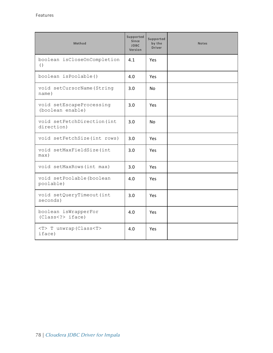| Method                                            | Supported<br><b>Since</b><br><b>JDBC</b><br>Version | Supported<br>by the<br><b>Driver</b> | <b>Notes</b> |
|---------------------------------------------------|-----------------------------------------------------|--------------------------------------|--------------|
| boolean isCloseOnCompletion<br>$\left( \ \right)$ | 4.1                                                 | Yes                                  |              |
| boolean isPoolable()                              | 4.0                                                 | Yes                                  |              |
| void setCursorName (String<br>name)               | 3.0                                                 | <b>No</b>                            |              |
| void setEscapeProcessing<br>(boolean enable)      | 3.0                                                 | Yes                                  |              |
| void setFetchDirection (int<br>direction)         | 3.0                                                 | No                                   |              |
| void setFetchSize(int rows)                       | 3.0                                                 | Yes                                  |              |
| void setMaxFieldSize(int<br>max)                  | 3.0                                                 | Yes                                  |              |
| void setMaxRows (int max)                         | 3.0                                                 | <b>Yes</b>                           |              |
| void setPoolable (boolean<br>poolable)            | 4.0                                                 | Yes                                  |              |
| void setQueryTimeout (int<br>seconds)             | 3.0                                                 | <b>Yes</b>                           |              |
| boolean isWrapperFor<br>(Class < ?>iface)         | 4.0                                                 | Yes                                  |              |
| <t> T unwrap (Class<t><br/>iface)</t></t>         | 4.0                                                 | Yes                                  |              |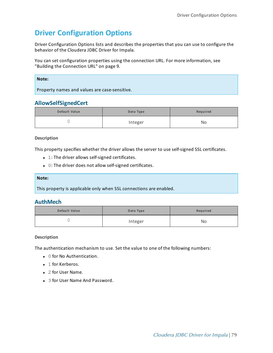# **Driver Configuration Options**

Driver Configuration Options lists and describes the properties that you can use to configure the behavior of the Cloudera JDBC Driver for Impala.

You can set configuration properties using the connection URL. For more information, see "Building the [Connection](#page-8-0) URL" on page 9.

| Note:                                         |
|-----------------------------------------------|
| Property names and values are case-sensitive. |
|                                               |

# **AllowSelfSignedCert**

| Default Value | Data Type | Required |
|---------------|-----------|----------|
|               | Integer   | No       |

### **Description**

This property specifies whether the driver allows the server to use self-signed SSL certificates.

- $\bullet$  1: The driver allows self-signed certificates.
- $\bullet$  0: The driver does not allow self-signed certificates.

### **Note:**

This property is applicable only when SSL connections are enabled.

# **AuthMech**

| Default Value | Data Type | Required |
|---------------|-----------|----------|
|               | Integer   | No       |

### **Description**

The authentication mechanism to use. Set the value to one of the following numbers:

- 0 for No Authentication.
- 1 for Kerberos.
- 2 for User Name.
- 3 for User Name And Password.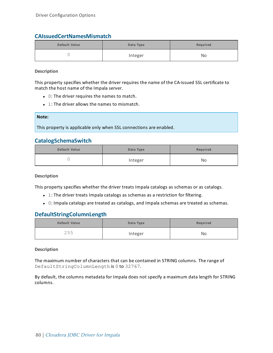# **CAIssuedCertNamesMismatch**

| Default Value | Data Type | Required |
|---------------|-----------|----------|
|               | Integer   | No       |

### **Description**

This property specifies whether the driver requires the name of the CA-issued SSL certificate to match the host name of the Impala server.

- $\bullet$  0: The driver requires the names to match.
- $\bullet$  1: The driver allows the names to mismatch.

| Note:                                                              |
|--------------------------------------------------------------------|
| This property is applicable only when SSL connections are enabled. |

# **CatalogSchemaSwitch**

| Default Value | Data Type | Required |
|---------------|-----------|----------|
|               | Integer   | No       |

**Description**

This property specifies whether the driver treats Impala catalogs as schemas or as catalogs.

- $\bullet$  1: The driver treats Impala catalogs as schemas as a restriction for filtering.
- 0: Impala catalogs are treated as catalogs, and Impala schemas are treated as schemas.

# **DefaultStringColumnLength**

| Default Value | Data Type | Required |
|---------------|-----------|----------|
| 255           | Integer   | No       |

### **Description**

The maximum number of characters that can be contained in STRING columns. The range of DefaultStringColumnLength is 0 to 32767.

By default, the columns metadata for Impala does not specify a maximum data length for STRING columns.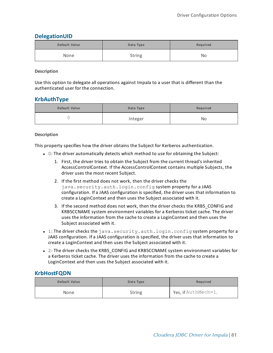# **DelegationUID**

| Default Value | Data Type     | Required |
|---------------|---------------|----------|
| None          | <b>String</b> | No       |

**Description**

Use this option to delegate all operations against Impala to a user that is different than the authenticated user for the connection.

# **KrbAuthType**

| Default Value | Data Type | Required |
|---------------|-----------|----------|
| ╰             | Integer   | No       |

### **Description**

This property specifies how the driver obtains the Subject for Kerberos authentication.

- $\bullet$  0: The driver automatically detects which method to use for obtaining the Subject:
	- 1. First, the driver tries to obtain the Subject from the current thread's inherited AccessControlContext. If the AccessControlContext contains multiple Subjects, the driver uses the most recent Subject.
	- 2. If the first method does not work, then the driver checks the java.security.auth.login.config system property for a JAAS configuration. If a JAAS configuration is specified, the driver uses that information to create a LoginContext and then uses the Subject associated with it.
	- 3. If the second method does not work, then the driver checks the KRB5\_CONFIG and KRB5CCNAME system environment variables for a Kerberos ticket cache. The driver uses the information from the cache to create a LoginContext and then uses the Subject associated with it.
- 1: The driver checks the java.security.auth.login.config system property for a JAAS configuration. If a JAAS configuration is specified, the driver uses that information to create a LoginContext and then uses the Subject associated with it.
- 2: The driver checks the KRB5\_CONFIG and KRB5CCNAME system environment variables for a Kerberos ticket cache. The driver uses the information from the cache to create a LoginContext and then uses the Subject associated with it.

# **KrbHostFQDN**

| Default Value | Data Type     | Required            |
|---------------|---------------|---------------------|
| None          | <b>String</b> | Yes, if AuthMech=1. |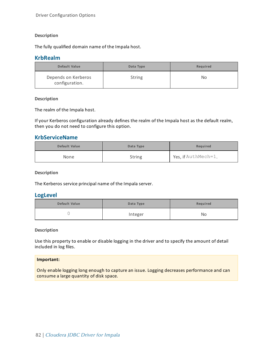### **Description**

The fully qualified domain name of the Impala host.

### **KrbRealm**

| Default Value                         | Data Type     | Required |
|---------------------------------------|---------------|----------|
| Depends on Kerberos<br>configuration. | <b>String</b> | No       |

### **Description**

The realm of the Impala host.

If your Kerberos configuration already defines the realm of the Impala host as the default realm, then you do not need to configure this option.

# **KrbServiceName**

| Default Value | Data Type     | Required            |
|---------------|---------------|---------------------|
| None          | <b>String</b> | Yes, if AuthMech=1. |

### **Description**

The Kerberos service principal name of the Impala server.

### **LogLevel**

| Default Value | Data Type | Required |
|---------------|-----------|----------|
|               | Integer   | No       |

### **Description**

Use this property to enable or disable logging in the driver and to specify the amount of detail included in log files.

### **Important:**

Only enable logging long enough to capture an issue. Logging decreases performance and can consume a large quantity of disk space.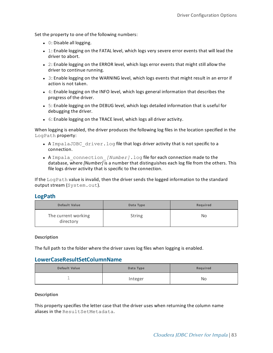Set the property to one of the following numbers:

- $\bullet$  0: Disable all logging.
- 1: Enable logging on the FATAL level, which logs very severe error events that will lead the driver to abort.
- $\bullet$  2: Enable logging on the ERROR level, which logs error events that might still allow the driver to continue running.
- 3: Enable logging on the WARNING level, which logs events that might result in an error if action is not taken.
- $\bullet$  4: Enable logging on the INFO level, which logs general information that describes the progress of the driver.
- 5: Enable logging on the DEBUG level, which logs detailed information that is useful for debugging the driver.
- 6: Enable logging on the TRACE level, which logs all driver activity.

When logging is enabled, the driver produces the following log files in the location specified in the LogPath property:

- A ImpalaJDBC  $driver.$  log file that logs driver activity that is not specific to a connection.
- A Impala connection *[Number]*.log file for each connection made to the database, where *[Number]* is a number that distinguishes each log file from the others. This file logs driver activity that is specific to the connection.

If the  $LogPath$  value is invalid, then the driver sends the logged information to the standard output stream (System.out).

### **LogPath**

| Default Value                    | Data Type     | Required |
|----------------------------------|---------------|----------|
| The current working<br>directory | <b>String</b> | No       |

**Description**

The full path to the folder where the driver saves log files when logging is enabled.

### **LowerCaseResultSetColumnName**

| Default Value | Data Type | Required |
|---------------|-----------|----------|
| ÷             | Integer   | No       |

### **Description**

This property specifies the letter case that the driver uses when returning the column name aliases in the ResultSetMetadata.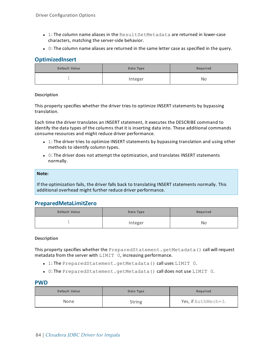- $-1$ : The column name aliases in the  $ResultSetMethod$  are returned in lower-case characters, matching the server-side behavior.
- $\bullet$  0: The column name aliases are returned in the same letter case as specified in the query.

# **OptimizedInsert**

| Default Value | Data Type | Required |
|---------------|-----------|----------|
| —             | Integer   | No       |

### **Description**

This property specifies whether the driver tries to optimize INSERT statements by bypassing translation.

Each time the driver translates an INSERT statement, it executes the DESCRIBE command to identify the data types of the columns that it is inserting data into. These additional commands consume resources and might reduce driver performance.

- 1: The driver tries to optimize INSERT statements by bypassing translation and using other methods to identify column types.
- $\bullet$  0: The driver does not attempt the optimization, and translates INSERT statements normally.

#### **Note:**

If the optimization fails, the driver falls back to translating INSERT statements normally. This additional overhead might further reduce driver performance.

# **PreparedMetaLimitZero**

| Default Value | Data Type | Required |
|---------------|-----------|----------|
| ÷             | Integer   | No       |

### **Description**

This property specifies whether the PreparedStatement.getMetadata() call will request metadata from the server with  $LIMIT = 0$ , increasing performance.

- . 1: The PreparedStatement.getMetadata() call uses LIMIT 0.
- <sup>l</sup> 0: The PreparedStatement.getMetadata() call does not use LIMIT 0.

### **PWD**

| Default Value | Data Type     | Required            |
|---------------|---------------|---------------------|
| None          | <b>String</b> | Yes, if AuthMech=3. |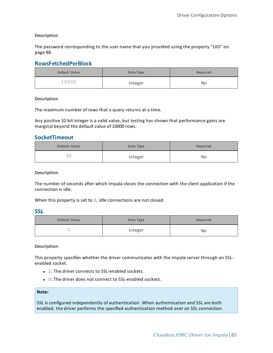**Description**

The password corresponding to the user name that you provided using the property ["UID"](#page-87-0) on [page](#page-87-0) 88.

# **RowsFetchedPerBlock**

| Default Value | Data Type | Required |
|---------------|-----------|----------|
| 10000         | Integer   | No       |

**Description**

The maximum number of rows that a query returns at a time.

Any positive 32-bit integer is a valid value, but testing has shown that performance gains are marginal beyond the default value of 10000 rows.

### **SocketTimeout**

| Default Value | Data Type | Required |
|---------------|-----------|----------|
| つの<br>JU      | Integer   | No       |

**Description**

The number of seconds after which Impala closes the connection with the client application if the connection is idle.

When this property is set to 0, idle connections are not closed.

**SSL**

| Default Value | Data Type | Required |
|---------------|-----------|----------|
|               | Integer   | No       |

### **Description**

This property specifies whether the driver communicates with the Impala server through an SSLenabled socket.

- $\bullet$  1: The driver connects to SSL-enabled sockets.
- $\bullet$  0: The driver does not connect to SSL-enabled sockets.

### **Note:**

SSL is configured independently of authentication. When authentication and SSL are both enabled, the driver performs the specified authentication method over an SSL connection.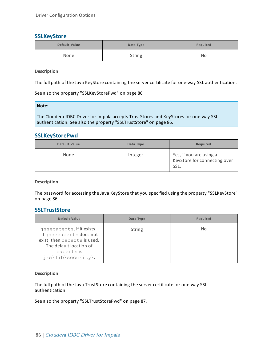# <span id="page-85-2"></span>**SSLKeyStore**

| Default Value | Data Type | Required |
|---------------|-----------|----------|
| None          | String    | No       |

**Description**

The full path of the Java KeyStore containing the server certificate for one-way SSL authentication.

See also the property ["SSLKeyStorePwd"](#page-85-0) on page 86.

**Note:**

The Cloudera JDBC Driver for Impala accepts TrustStores and KeyStores for one-way SSL authentication. See also the property ["SSLTrustStore"](#page-85-1) on page 86.

### <span id="page-85-0"></span>**SSLKeyStorePwd**

| Default Value | Data Type | Required                                                        |
|---------------|-----------|-----------------------------------------------------------------|
| None          | Integer   | Yes, if you are using a<br>KeyStore for connecting over<br>SSL. |

**Description**

<span id="page-85-1"></span>The password for accessing the Java KeyStore that you specified using the property ["SSLKeyStore"](#page-85-2) on [page](#page-85-2) 86.

### **SSLTrustStore**

| Default Value                                                                                                                                        | Data Type     | Required |
|------------------------------------------------------------------------------------------------------------------------------------------------------|---------------|----------|
| jssecacerts, if it exists.<br>If jssecacerts does not<br>exist, then cacerts is used.<br>The default location of<br>cacerts is<br>jre\lib\security\. | <b>String</b> | No.      |

### **Description**

The full path of the Java TrustStore containing the server certificate for one-way SSL authentication.

See also the property ["SSLTrustStorePwd"](#page-86-0) on page 87.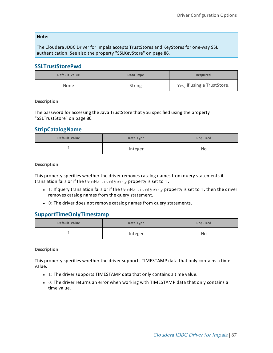### **Note:**

<span id="page-86-0"></span>The Cloudera JDBC Driver for Impala accepts TrustStores and KeyStores for one-way SSL authentication. See also the property ["SSLKeyStore"](#page-85-2) on page 86.

### **SSLTrustStorePwd**

| Default Value | Data Type     | Required                    |
|---------------|---------------|-----------------------------|
| None          | <b>String</b> | Yes, if using a TrustStore. |

### **Description**

The password for accessing the Java TrustStore that you specified using the property ["SSLTrustStore"](#page-85-1) on page 86.

### **StripCatalogName**

| Default Value | Data Type | Required |
|---------------|-----------|----------|
| -             | Integer   | No       |

#### **Description**

This property specifies whether the driver removes catalog names from query statements if translation fails or if the UseNativeQuery property is set to 1.

- $\bullet$  1: If query translation fails or if the UseNativeQuery property is set to 1, then the driver removes catalog names from the query statement.
- 0: The driver does not remove catalog names from query statements.

### **SupportTimeOnlyTimestamp**

| Default Value | Data Type | Required |
|---------------|-----------|----------|
| <b>-</b>      | Integer   | No       |

### **Description**

This property specifies whether the driver supports TIMESTAMP data that only contains a time value.

- $\bullet$  1: The driver supports TIMESTAMP data that only contains a time value.
- $\bullet$  0: The driver returns an error when working with TIMESTAMP data that only contains a time value.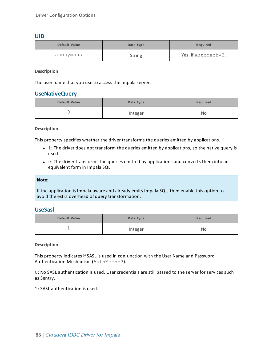### <span id="page-87-0"></span>**UID**

| Default Value | Data Type     | Required            |
|---------------|---------------|---------------------|
| anonymous     | <b>String</b> | Yes, if AuthMech=3. |

**Description**

The user name that you use to access the Impala server.

### **UseNativeQuery**

| Default Value | Data Type | Required |
|---------------|-----------|----------|
|               | Integer   | No       |

### **Description**

This property specifies whether the driver transforms the queries emitted by applications.

- $\bullet$  1: The driver does not transform the queries emitted by applications, so the native query is used.
- $\bullet$  0: The driver transforms the queries emitted by applications and converts them into an equivalent form in Impala SQL.

### **Note:**

If the application is Impala-aware and already emits Impala SQL, then enable this option to avoid the extra overhead of query transformation.

### **UseSasl**

| Default Value | Data Type | Required |
|---------------|-----------|----------|
| —             | Integer   | No       |

### **Description**

This property indicates if SASL is used in conjunction with the User Name and Password Authentication Mechanism (AuthMech=3).

0: No SASL authentication is used. User credentials are still passed to the server for services such as Sentry.

1: SASL authentication is used.